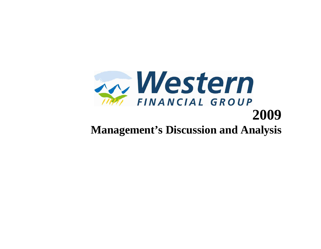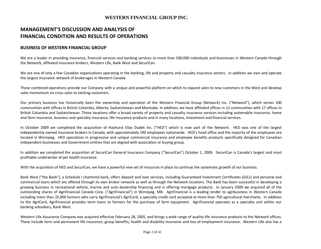# MANAGEMENT'S DISCUSSION AND ANALYSIS OF FINANCIAL CONDITION AND RESULTS OF OPERATIONS

# BUSINESS OF WESTERN FINANCIAL GROUP

We are a leader in providing insurance, financial services and banking services to more than 500,000 individuals and businesses in Western Canada throughthe Network, affiliated insurance brokers, Western Life, Bank West and SecuriCan.

We are one of only a few Canadian organizations operating in the banking, life and property and casualty insurance sectors. In addition we own and operate the largest insurance network of brokerages in Western Canada.

These combined operations provide our Company with a unique and powerful platform on which to expand sales to new customers in the West and develop sales momentum on cross sales to existing customers.

Our primary business has historically been the ownership and operation of the Western Financial Group (Network) Inc. ("Network"), which serves 100 communities with offices in British Columbia, Alberta, Saskatchewan and Manitoba. In addition, we have affiliated offices in 12 communities with 17 offices in British Columbia and Saskatchewan. These locations offer a broad variety of property and casualty insurance services including automobile insurance, homeand farm insurance, business and specialty insurance, life insurance products and in many locations, investment and financial services.

In October 2009 we completed the acquisition of Hayhurst Elias Dudek Inc. ("HED") which is now part of the Network. HED was one of the largest independently-owned insurance brokers in Canada, with approximately 190 employees nationwide. HED's head office and the majority of the employees are located in Winnipeg. HED specializes in progressive and unique commercial insurance and employee benefits products specifically designed for Canadian independent businesses and Government entities that are aligned with association or buying group.

In addition we completed the acquisition of SecuriCan General Insurance Company ("SecuriCan") October 1, 2009. SecuriCan is Canada's largest and most profitable underwriter of pet health insurance.

With the acquisition of HED and SecuriCan, we have a powerful new set of resources in place to continue the systematic growth of our business.

Bank West ("the Bank"), a Schedule I chartered bank, offers deposit and loan services, including Guaranteed Investment Certificates (GICs) and personal and commercial loans which are offered through its own broker network as well as through the Network locations. The Bank has been successful in developing a growing business in recreational vehicle, marine and auto dealership financing and in offering mortgage products. In January 2009 we acquired all of the outstanding shares of AgriFinancial Canada Corp. ("AgriFinancial") in Winnipeg, MB. AgriFinancial is a leading lender to agribusiness in Western Canada including more than 25,000 farmers who carry AgriFinancial's AgriCard, a specialty credit card accepted at more than 750 agricultural merchants. In addition to the AgriCard, AgriFinancial provides term loans to farmers for the purchase of farm equipment. AgriFinancial operates as a specialty unit within our banking subsidiary, Bank West.

Western Life Assurance Company was acquired effective February 28, 2005, and brings a wide range of quality life insurance products to the Network offices. These include term and permanent life insurance, group benefits, health and disability insurance and loss of employment insurance. Western Life also has a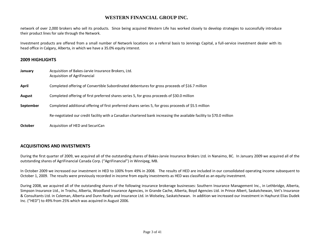network of over 2,000 brokers who sell its products. Since being acquired Western Life has worked closely to develop strategies to successfully introduce their product lines for sale through the Network.

Investment products are offered from a small number of Network locations on a referral basis to Jennings Capital, a full-service investment dealer with its head office in Calgary, Alberta, in which we have a 35.0% equity interest.

# 2009 HIGHLIGHTS

| January        | Acquisition of Bakes-Jarvie Insurance Brokers, Ltd.<br>Acquisition of AgriFinancial                                  |
|----------------|----------------------------------------------------------------------------------------------------------------------|
| April          | Completed offering of Convertible Subordinated debentures for gross proceeds of \$16.7 million                       |
| August         | Completed offering of first preferred shares series 5, for gross proceeds of \$30.0 million                          |
| September      | Completed additional offering of first preferred shares series 5, for gross proceeds of \$5.5 million                |
|                | Re-negotiated our credit facility with a Canadian chartered bank increasing the available facility to \$70.0 million |
| <b>October</b> | Acquisition of HED and SecuriCan                                                                                     |

# ACQUISITIONS AND INVESTMENTS

During the first quarter of 2009, we acquired all of the outstanding shares of Bakes-Jarvie Insurance Brokers Ltd. in Nanaimo, BC. In January 2009 we acquired all of the outstanding shares of AgriFinancial Canada Corp. ("AgriFinancial") in Winnipeg, MB.

In October 2009 we increased our investment in HED to 100% from 49% in 2008. The results of HED are included in our consolidated operating income subsequent to October 1, 2009. The results were previously recorded in income from equity investments as HED was classified as an equity investment.

During 2008, we acquired all of the outstanding shares of the following insurance brokerage businesses: Southern Insurance Management Inc., in Lethbridge, Alberta, Simpson Insurance Ltd., in Trochu, Alberta, Woodland Insurance Agencies, in Grande Cache, Alberta, Boyd Agencies Ltd. in Prince Albert, Saskatchewan, Vet's Insurance & Consultants Ltd. in Coleman, Alberta and Dunn Realty and Insurance Ltd. in Wolseley, Saskatchewan. In addition we increased our investment in Hayhurst Elias Dudek Inc. ("HED") to 49% from 25% which was acquired in August 2006.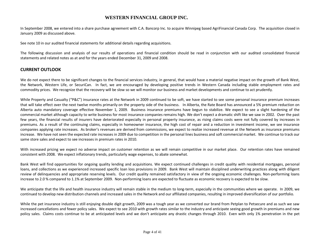In September 2008, we entered into a share purchase agreement with C.A. Bancorp Inc. to acquire Winnipeg based AgriFinancial Canada Corp. The acquisition closed in January 2009 as discussed above.

See note 10 in our audited financial statements for additional details regarding acquisitions.

The following discussion and analysis of our results of operations and financial condition should be read in conjunction with our audited consolidated financial statements and related notes as at and for the years ended December 31, 2009 and 2008.

# CURRENT OUTLOOK

We do not expect there to be significant changes to the financial services industry, in general, that would have a material negative impact on the growth of Bank West, the Network, Western Life, or SecuriCan. In fact, we are encouraged by developing positive trends in Western Canada including stable employment rates and commodity prices. We recognize that the recovery will be slow so we will monitor our business and market developments and continue to act prudently.

While Property and Casualty ("P&C") insurance rates at the Network in 2009 continued to be soft, we have started to see some personal insurance premium increases that will take effect over the next twelve months primarily on the property side of the business. In Alberta, the Rate Board has announced a 5% premium reduction on Alberta auto mandatory coverage effective November 1, 2009. Business insurance premiums have begun to stabilize. We expect to see a slight hardening of the commercial market although capacity to write business for most insurance companies remains high. We don't expect a dramatic shift like we saw in 2002. Over the past few years, the financial results of insurers have deteriorated especially in personal property insurance, as rising claims costs were not fully covered by increases in premiums. As a result of the continuing claims, especially in homeowner insurance, the high cost of repair and a reduction in investment income, we see insurance companies applying rate increases. As broker's revenues are derived from commissions, we expect to realize increased revenue at the Network as insurance premiums increase. We have not seen the expected rate increases in 2009 due to competition in the personal lines business and soft commercial market. We continue to track our same store sales and expect to see increases in premium rates in 2010.

With increased pricing we expect no adverse impact on customer retention as we will remain competitive in our market place. Our retention rates have remained consistent with 2008. We expect inflationary trends, particularly wage expenses, to abate somewhat.

Bank West will find opportunities for ongoing quality lending and acquisitions. We expect continued challenges in credit quality with residential mortgages, personal loans, and collections as we experienced increased specific loan loss provisions in 2009. Bank West will maintain disciplined underwriting practices along with diligent review of delinquencies and appropriate reserving levels. Our credit quality remained satisfactory in view of the ongoing economic challenges. Non-performing loans increase to 2.0 % compared to 1.1% at September 2009. Non-performing loans are expected to fluctuate as economic recovery is expected to be slow.

We anticipate that the life and health insurance industry will remain stable in the medium to long-term, especially in the communities where we operate. In 2009, we continued to develop new distribution channels and increased sales in the Network and our affiliated companies, resulting in improved diversification of our portfolio.

While the pet insurance industry is still enjoying double digit growth, 2009 was a tough year as we converted our brand from Petplan to Petsecure and as such we saw increased cancellations and fewer policy sales. We expect to see 2010 with growth rates similar to the industry and anticipate seeing good growth in premiums and new policy sales. Claims costs continue to be at anticipated levels and we don't anticipate any drastic changes through 2010. Even with only 1% penetration in the pet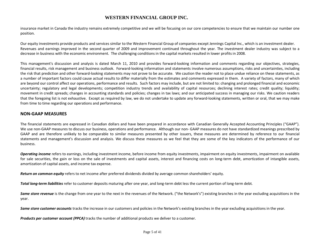insurance market in Canada the industry remains extremely competitive and we will be focusing on our core competencies to ensure that we maintain our number one position.

Our equity investments provide products and services similar to the Western Financial Group of companies except Jennings Capital Inc., which is an investment dealer. Revenues and earnings improved in the second quarter of 2009 and improvement continued throughout the year. The investment dealer industry was subject to a decrease in business with the economic environment. The challenging conditions in the capital markets resulted in lower profits in 2008.

This management's discussion and analysis is dated March 11, 2010 and provides forward-looking information and comments regarding our objectives, strategies, financial results, risk management and business outlook. Forward-looking information and statements involve numerous assumptions, risks and uncertainties, including the risk that prediction and other forward-looking statements may not prove to be accurate. We caution the reader not to place undue reliance on these statements, as a number of important factors could cause actual results to differ materially from the estimates and comments expressed in them. A variety of factors, many of which are beyond our control affect our operations, performance and results. Such factors may include, but are not limited to: changing and prolonged financial and economic uncertainty; regulatory and legal developments; competition industry trends and availability of capital resources; declining interest rates; credit quality; liquidity; movement in credit spreads; changes in accounting standards and policies; changes in tax laws; and our anticipated success in managing our risks. We caution readers that the foregoing list is not exhaustive. Except as required by law, we do not undertake to update any forward-looking statements, written or oral, that we may make from time to time regarding our operations and performance.

# NON-GAAP MEASURES

The financial statements are expressed in Canadian dollars and have been prepared in accordance with Canadian Generally Accepted Accounting Principles ("GAAP"). We use non-GAAP measures to discuss our business, operations and performance. Although our non-GAAP measures do not have standardized meanings prescribed by GAAP and are therefore unlikely to be comparable to similar measures presented by other issuers, these measures are determined by reference to our financial statements and management's discussion and analysis. We discuss these measures as we feel that they are some of the key indicators of the performance of our business.

**Operating income** refers to earnings, including investment income, before income from equity investment on equity investments, impairment on available for sale securities, the gain or loss on the sale of investments and capital assets, interest and financing costs on long-term debt, amortization of intangible assets, amortization of capital assets, and income tax expense.

Return on common equity refers to net income after preferred dividends divided by average common shareholders' equity.

Total long-term liabilities refer to customer deposits maturing after one year, and long-term debt less the current portion of long-term debt.

Same store revenue is the change from one year to the next in the revenues of the Network. ("the Network's") existing branches in the year excluding acquisitions in the year.

Same store customer accounts tracks the increase in our customers and policies in the Network's existing branches in the year excluding acquisitions in the year.

Products per customer account (PPCA) tracks the number of additional products we deliver to a customer.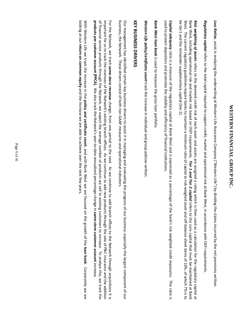# WESTERN FINANCIAL GROUP INC. **WESTERN FINANCIAL GROUP INC.**

Loss Ratios, assist in analyzing the underwriting at Western Life Assurance Company ("Western Life") by dividing the claims incurred by the net premiums written. Loss Ratios, assist in analyzing the underwriting at Western Life Assurance Company ("Western Life") by dividing the claims incurred by the net premiums written.

Regulatory capital refers to the total capital required to support credit, market and operational risk at Bank West, in accordance with OSFI requirements Regulatory capital refers to the total capital required to support credit, market and operational risk at Bank West, in accordance with OSFI requirements.

be tier1 and the remainder supplementary capital (tier 2). West. The current regulatory guidelines require banks to maintain a minimum ratio of capital to risk-weighed asset and off-balance sheet items of 10%, of which 7% is to Bank West, including operational risk and market risk based on OSFI requirements. Tier 1 and Tier 2 capital refers to the core capital that must be maintained at Bank Risk weighting of assets refers to the deemed credit risk of each asset and assets are assigned a rating which is then used as a calculation for the regulatory capital at be tier1 and the remainder supplementary capital (tier 2). West. The current regulatory guidelines require banks to maintain a minimum ratio of capital to risk-weighed asset and off-balance sheet items of 10%, of which 7% is to Bank West, including operational risk and market risk based on OSFI requirements. Risk weighting of assets refers to the deemed credit risk of each asset and assets are assigned a rating which is then used as a calculation for the regulatory capital at Tier 1 and Tier 2 capital refers to the core capital that must be maintained at Bank

used to protect depositors and promotes the stability and efficiency of financial institutions Capital adequacy ratio is a measure of the regulatory capital at Bank West and is expressed as a percentage of the bank's risk weighted credit exposures. This ratio is used to protect depositors and promotes the stability and efficiency of financial institutions. Capital adequacy ratio is a measure of the regulatory capital at Bank West and is expressed as a percentage of the bank's risk weighted credit exposures. This ratio is

Bank West loan book is used to measure the gross loan portfolio Bank West loan book is used to measure the gross loan portfolio.

Western Life policy/certificate count track the increase in individual and group policies written. Western Life policy/certificate count track the increase in individual and group policies written.

# **KEY BUSINESS DRIVERS** KEY BUSINESS DRIVERS

business, the Network. These drivers consist of both non-GAAP measures and operational indicators. Our management has identified certain key business drivers to assist it in managing and evaluating the progress of our business, especially the largest component of our business, the Network. These drivers consist of both non-GAAP measures and operational indicators. Our management has identified certain key business drivers to assist it in managing and evaluating the progress of our business, especially the largest component of our

products per customer account (PPCA). We also track the Network's year-to-date annualized percentage change in same-store customer account increase of financial service products through the Network, we expect the average number of products we sell to existing customers to increase. To analyze this, we track the important for us to track the revenues of the Network's existing branch offices. As we continue to add new products through the sale of P&C insurance and the addition For the Network, we track same-store revenue change, from one period to the next. As we continue to add branch offices to the Network through acquisitions it is products per customer account (PPCA)of financial service products through the Network, we expect the average number of products we sell to existing customers to increase. To analyze this, we track the important for us to track the revenues of the Network's existing branch offices. As we continue to add new products through the sale of P&C insurance and the addition For the Network, we track same-store revenue. We also track the Network's year-to-date annualized percentage change in change, from one period to the next. As we continue to add branch offices to the Network through acquisitions it is same-store customer account

looking at our return on common equity and the increase we are able to achieve over the next few years. With Western Life we track the increase in the policy and certificate count, and with Bank West we are focused on the growth of the loan book. Corporately we are looking at our With Western Life we track the increase in the return on common equity and the increase we are able to achieve over the next few years. policy and certificate count, and with Bank West we are focused on the growth of the loan book. Corporately we are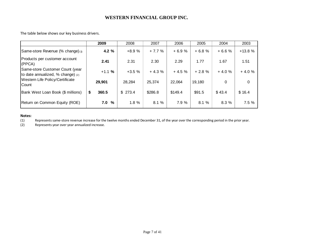The table below shows our key business drivers.

|                                                                        | 2009        | 2008    | 2007    | 2006    | 2005    | 2004    | 2003     |
|------------------------------------------------------------------------|-------------|---------|---------|---------|---------|---------|----------|
| Same-store Revenue (% change) (1)                                      | 4.2%        | $+8.9%$ | $+7.7%$ | $+6.9%$ | $+6.8%$ | $+6.6%$ | $+13.8%$ |
| Products per customer account<br>(PPCA)                                | 2.41        | 2.31    | 2.30    | 2.29    | 1.77    | 1.67    | 1.51     |
| Same-store Customer Count (year<br>to date annualized, % change) $(2)$ | $+1.1%$     | $+3.5%$ | $+4.3%$ | $+4.5%$ | $+2.8%$ | $+4.0%$ | $+4.0%$  |
| Western Life Policy/Certificate<br><b>Count</b>                        | 29,901      | 28,284  | 25,374  | 22,064  | 19,180  | 0       | 0        |
| Bank West Loan Book (\$ millions)                                      | \$<br>360.5 | \$273.4 | \$286.8 | \$149.4 | \$91.5  | \$43.4  | \$16.4   |
| Return on Common Equity (ROE)                                          | 7.0%        | 1.8%    | 8.1%    | 7.9 %   | 8.1%    | 8.3%    | 7.5%     |

#### Notes:

(1) Represents same-store revenue increase for the twelve months ended December 31, of the year over the corresponding period in the prior year.

(2) Represents year over year annualized increase.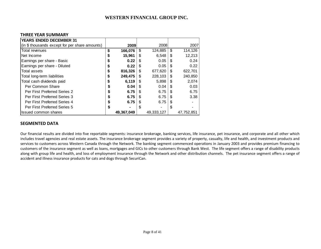#### THREE YEAR SUMMARY

| <b>YEARS ENDED DECEMBER 31</b>                 |    |            |     |            |    |            |
|------------------------------------------------|----|------------|-----|------------|----|------------|
| (in \$ thousands except for per share amounts) |    | 2009       |     | 2008       |    | 2007       |
| Total revenues                                 | \$ | 166,076    | \$  | 124,885    | \$ | 114,126    |
| <b>Net Income</b>                              | S  | 15,961     | S   | 6.548      | S  | 12,213     |
| Earnings per share - Basic                     | \$ | 0.22       | \$  | 0.05       | \$ | 0.24       |
| Earnings per share - Diluted                   | S  | 0.22       | \$. | 0.05       | \$ | 0.22       |
| Total assets                                   | S  | 816,326    | \$  | 677.620    | \$ | 622,701    |
| Total long-term liabilities                    | \$ | 249.475    | S   | 228.103    | \$ | 240,850    |
| Total cash dividends paid                      | S  | 6.119      | \$  | 5,898      | \$ | 2,074      |
| Per Common Share                               | S  | 0.04       | \$. | 0.04       | \$ | 0.03       |
| Per First Preferred Series 2                   | S  | 6.75       | \$. | 6.75       | \$ | 6.75       |
| <b>Per First Preferred Series 3</b>            |    | 6.75       | \$  | 6.75       | \$ | 3.38       |
| Per First Preferred Series 4                   | S  | 6.75       | \$. | 6.75       | \$ |            |
| <b>Per First Preferred Series 5</b>            | \$ |            | \$  |            | \$ |            |
| Issued common shares                           |    | 49,367,049 |     | 49,333,127 |    | 47,752,851 |

#### SEGMENTED DATA

Our financial results are divided into five reportable segments: insurance brokerage, banking services, life insurance, pet insurance, and corporate and all other which includes travel agencies and real estate assets. The insurance brokerage segment provides a variety of property, casualty, life and health, and investment products and services to customers across Western Canada through the Network. The banking segment commenced operations in January 2003 and provides premium financing to customers of the insurance segment as well as loans, mortgages and GICs to other customers through Bank West. The life segment offers a range of disability products along with group life and health, and loss of employment insurance through the Network and other distribution channels. The pet insurance segment offers a range of accident and illness insurance products for cats and dogs through SecuriCan.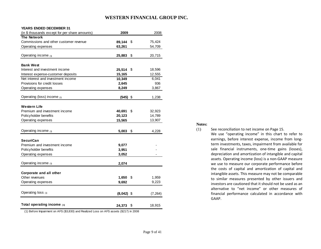#### **YEARS ENDED DECEMBER 31**

| (in \$ thousands except for per share amounts)                                         | 2009         |     | 2008     |
|----------------------------------------------------------------------------------------|--------------|-----|----------|
| <b>The Network</b>                                                                     |              |     |          |
| Commissions and other customer revenue                                                 | 89,144       | \$  | 75,424   |
| Operating expenses                                                                     | 63,261       |     | 54,709   |
|                                                                                        |              |     |          |
| Operating income (1)                                                                   | 25,883       | \$  | 20,715   |
|                                                                                        |              |     |          |
| <b>Bank West</b>                                                                       |              |     |          |
| Interest and investment income                                                         | 25,514       | \$  | 18,596   |
| Interest expense-customer deposits                                                     | 15,165       |     | 12,555   |
| Net interest and investment income                                                     | 10,349       |     | 6,041    |
| Provisions for credit losses                                                           | 2,645        |     | 936      |
| Operating expenses                                                                     | 8,249        |     | 3,867    |
|                                                                                        |              |     |          |
| Operating (loss) income $(1)$                                                          | $(545)$ \$   |     | 1,238    |
|                                                                                        |              |     |          |
| Western Life                                                                           |              |     |          |
| Premium and investment income                                                          | 40,691       | \$  | 32,923   |
| Policyholder benefits                                                                  | 20,123       |     | 14,789   |
| Operating expenses                                                                     | 15,565       |     | 13,907   |
|                                                                                        |              |     |          |
| Operating income $(1)$                                                                 | 5,003        | -\$ | 4,228    |
|                                                                                        |              |     |          |
| SecuriCan                                                                              |              |     |          |
| Premium and investment income                                                          | 9,077        |     |          |
| Policyholder benefits                                                                  | 3,951        |     |          |
| Operating expenses                                                                     | 3,052        |     |          |
|                                                                                        |              |     |          |
| Operating income (1)                                                                   | 2,074        |     |          |
|                                                                                        |              |     |          |
| Corporate and all other                                                                |              |     |          |
| Other revenues                                                                         | 1,650        | \$  | 1,959    |
| Operating expenses                                                                     | 9,692        |     | 9,223    |
|                                                                                        |              |     |          |
| Operating loss $(1)$                                                                   |              |     |          |
|                                                                                        | $(8,042)$ \$ |     | (7, 264) |
|                                                                                        |              |     |          |
| Total operating income $(1)$                                                           | 24,373 \$    |     | 18,915   |
| (1) Before Impairment on AFS (\$3,830) and Realized Loss on AFS assets (\$217) in 2008 |              |     |          |

**Notes:**

(1) See reconciliation to net income on Page 15. We use "operating income" in this chart to refer to earnings, before interest expense, income from long term investments, taxes, impairment from available for sale financial instruments, one-time gains (losses), depreciation and amortization of intangible and capital assets. Operating income (loss) is a non-GAAP measure we use to measure our corporate performance before the costs of capital and amortization of capital and intangible assets. This measure may not be comparable to similar measures presented by other issuers and investors are cautioned that it should not be used as an alternative to "net income" or other measures of financial performance calculated in accordance withGAAP.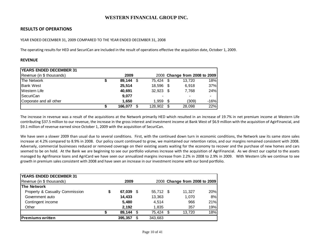# RESULTS OF OPERATIONS

#### YEAR ENDED DECEMBER 31, 2009 COMPARED TO THE YEAR ENDED DECEMBER 31, 2008

The operating results for HED and SecuriCan are included in the result of operations effective the acquisition date, October 1, 2009.

#### REVENUE

| <b>IYEARS ENDED DECEMBER 31</b> |             |               |      |                               |        |
|---------------------------------|-------------|---------------|------|-------------------------------|--------|
| Revenue (in \$ thousands)       | 2009        |               |      | 2008 Change from 2008 to 2009 |        |
| The Network                     | $89,144$ \$ | 75.424        | - \$ | 13.720                        | 18%    |
| <b>Bank West</b>                | 25,514      | 18.596 \$     |      | 6.918                         | 37%    |
| Western Life                    | 40,691      | $32.923$ \$   |      | 7.768                         | 24%    |
| <b>SecuriCan</b>                | 9,077       |               |      |                               |        |
| Corporate and all other         | 1.650       | 1.959         | - \$ | (309)                         | $-16%$ |
|                                 | 166.077     | \$<br>128,902 | S    | 28,098                        | 22%    |

The increase in revenue was a result of the acquisitions at the Network primarily HED which resulted in an increase of 19.7% in net premium income at Western Life contributing \$37.5 million to our revenue, the increase in the gross interest and investment income at Bank West of \$6.9 million with the acquisition of AgirFinancial, and \$9.1 million of revenue earned since October 1, 2009 with the acquisition of SecuriCan.

We have seen a slower 2009 than usual due to several conditions. First, with the continued down turn in economic conditions, the Network saw its same store sales increase at 4.2% compared to 8.9% in 2008. Our policy count continued to grow, we maintained our retention ratios, and our margins remained consistent with 2008. Adversely, commercial businesses reduced or removed coverage on their existing assets waiting for the economy to recover and the purchase of new homes and cars seemed to be on hold. At the Bank we are beginning to see our portfolio volumes increase with the acquisition of AgriFinancial. As we direct our capital to the assets managed by Agrifinance loans and AgriCard we have seen our annualized margins increase from 2.2% in 2008 to 2.9% in 2009. With Western Life we continue to see growth in premium sales consistent with 2008 and have seen an increase in our investment income with our bond portfolio.

| <b>YEARS ENDED DECEMBER 31</b> |   |           |               |      |                               |     |
|--------------------------------|---|-----------|---------------|------|-------------------------------|-----|
| Revenue (in \$ thousands)      |   | 2009      |               |      | 2008 Change from 2008 to 2009 |     |
| <b>The Network</b>             |   |           |               |      |                               |     |
| Property & Casualty Commission | S | 67,039 \$ | 55,712 \$     |      | 11.327                        | 20% |
| Government auto                |   | 14,433    | 13,363        |      | 1,070                         | 8%  |
| Contingent income              |   | 5,480     | 4.514         |      | 966                           | 21% |
| Other                          |   | 2.192     | 1,835         |      | 357                           | 19% |
|                                | S | 89,144    | \$<br>75,424  | - \$ | 13.720                        | 18% |
| <b>Premiums written</b>        |   | 395.357   | \$<br>343.683 |      |                               |     |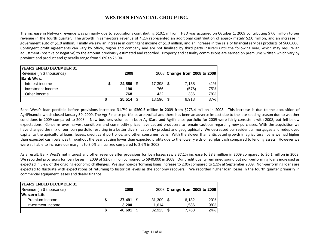The increase in Network revenue was primarily due to acquisitions contributing \$10.1 million. HED was acquired on October 1, 2009 contributing \$7.6 million to our revenue in the fourth quarter. The growth in same-store revenue of 4.2% represented an additional contribution of approximately \$2.0 million, and an increase in government auto of \$1.0 million. Finally we saw an increase in contingent income of \$1.0 million, and an increase in the sale of financial services products of \$600,000. Contingent profit agreements can vary by office, region and company and are not finalized by third party insurers until the following year, which may require an adjustment (positive or negative) to the amount previously estimated and recorded. Property and casualty commissions are earned on premiums written which vary by province and product and generally range from 5.0% to 25.0%.

| <b>YEARS ENDED DECEMBER 31</b> |        |     |           |   |                               |        |
|--------------------------------|--------|-----|-----------|---|-------------------------------|--------|
| Revenue (in \$ thousands)      | 2009   |     |           |   | 2008 Change from 2008 to 2009 |        |
| lBank West                     |        |     |           |   |                               |        |
| Interest income                | 24.556 |     | 17,398 \$ |   | 7.158                         | 41%    |
| Investment income              | 190    |     | 766       |   | (576)                         | $-75%$ |
| Other income                   | 768    |     | 432       |   | 336                           | 78%    |
|                                | 25.514 | \$. | 18.596    | S | 6.918                         | 37%    |

Bank West's loan portfolio before provisions increased 31.7% to \$360.5 million in 2009 from \$273.4 million in 2008. This increase is due to the acquisition of AgriFinancial which closed January 30, 2009. The AgriFinance portfolios are cyclical and there has been an adverse impact due to the late seeding season due to weather conditions in 2009 compared to 2008. New business volumes in both AgriCard and Agrifinance portfolio for 2009 were fairly consistent with 2008, but fell below expectations. Concerns over harvest conditions and commodity prices have caused producers to remain cautious regarding new purchases. With the acquisition we have changed the mix of our loan portfolio resulting in a better diversification by product and geographically. We decreased our residential mortgages and redeployed capital to the agricultural loans, leases, credit card portfolios, and other consumer loans. With the slower than anticipated growth in agricultural loans we had higher than expected cash balances throughout the year causing lower than expected profits due to the lower yields on surplus cash compared to lending assets. However we were still able to increase our margins to 3.0% annualized compared to 2.6% in 2008.

As a result, Bank West's net interest and other revenue after provisions for loan losses saw a 37.1% increase to \$8.3 million in 2009 compared to \$6.1 million in 2008. We recorded provisions for loan losses in 2009 of \$2.6 million compared to \$940,000 in 2008. Our credit quality remained sound but non-performing loans increased as expected in view of the ongoing economic challenges. We saw non-performing loans increase to 2.0% compared to 1.1% at September 2009. Non-performing loans are expected to fluctuate with expectations of returning to historical levels as the economy recovers. We recorded higher loan losses in the fourth quarter primarily in commercial equipment leases and dealer finance.

| <b>YEARS ENDED DECEMBER 31</b> |   |           |                |                               |     |
|--------------------------------|---|-----------|----------------|-------------------------------|-----|
| Revenue (in \$ thousands)      |   | 2009      |                | 2008 Change from 2008 to 2009 |     |
| <b>Western Life</b>            |   |           |                |                               |     |
| Premium income                 | S | 37.491 \$ | $31.309$ \$    | 6.182                         | 20% |
| Investment income              |   | 3.200     | 1.614          | 1.586                         | 98% |
|                                |   | 40.691    | 32.923<br>- \$ | 7.768                         | 24% |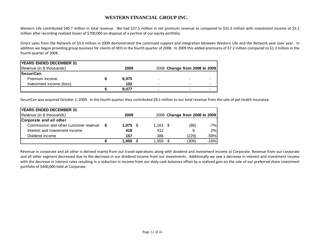Western Life contributed \$40.7 million in total revenue. We had \$37.5 million in net premium revenue as compared to \$31.3 million with investment income of \$3.2 million after recording realized losses of \$700,000 on disposal of a portion of our equity portfolio.

Direct sales from the Network of \$3.4 million in 2009 demonstrated the continued support and integration between Western Life and the Network year over year. In addition we began providing group business for clients of HED in the fourth quarter of 2008. In 2009 this added premiums of \$7.2 million compared to \$1.3 million in the fourth quarter of 2008.

| <b>YEARS ENDED DECEMBER 31</b> |       |      |                               |  |
|--------------------------------|-------|------|-------------------------------|--|
| Revenue (in \$ thousands)      | 2009  |      | 2008 Change from 2008 to 2009 |  |
| <b>SecuriCan</b>               |       |      |                               |  |
| Premium income                 | 8.975 |      |                               |  |
| Investment income (loss)       | 102   | $\,$ |                               |  |
|                                | 9.077 |      |                               |  |

SecuriCan was acquired October 1, 2009. In the fourth quarter they contributed \$9.1 million to our total revenue from the sale of pet health insurance.

| <b>YEARS ENDED DECEMBER 31</b>        |         |      |            |    |                               |
|---------------------------------------|---------|------|------------|----|-------------------------------|
| Revenue (in \$ thousands)             | 2009    |      |            |    | 2008 Change from 2008 to 2009 |
| Corporate and all other               |         |      |            |    |                               |
| Commission and other customer revenue | 1.075 S |      | $1,161$ \$ |    | $-7%$<br>(86)                 |
| Interest and investment income        | 418     |      | 412        |    | 2%<br>6                       |
| Dividend income                       | 157     |      | 386        |    | $-59%$<br>(229)               |
|                                       | 1,650   | - \$ | 1.959      | -S | $-16%$<br>(309)               |

Revenue in corporate and all other is derived mainly from our travel operations along with dividend and investment income at Corporate. Revenue from our corporate and all other segment decreased due to the decrease in our dividend income from our investments. Additionally we saw a decrease in interest and investment income with the decrease in interest rates resulting in a reduction in income from our daily cash balances offset by a realized gain on the sale of our preferred share investment portfolio of \$400,000 held at Corporate.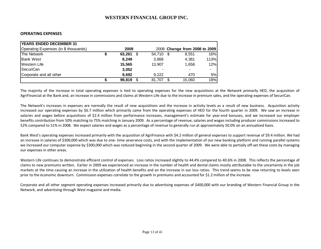#### OPERATING EXPENSES

| <b>YEARS ENDED DECEMBER 31</b>       |        |   |           |                               |      |
|--------------------------------------|--------|---|-----------|-------------------------------|------|
| Operating Expenses (in \$ thousands) | 2009   |   |           | 2008 Change from 2008 to 2009 |      |
| The Network                          | 63,261 | S | 54,710 \$ | 8.551                         | 16%  |
| <b>Bank West</b>                     | 8,249  |   | 3,868     | 4.381                         | 113% |
| Western Life                         | 15.565 |   | 13.907    | 1.658                         | 12%  |
| <b>SecuriCan</b>                     | 3,052  |   |           | $\overline{\phantom{0}}$      |      |
| Corporate and all other              | 9.692  |   | 9.222     | 470                           | 5%   |
|                                      | 99.819 | S | 81.707    | 15,060                        | 18%  |

The majority of the increase in total operating expenses is tied to operating expenses for the new acquisitions at the Network primarily HED, the acquisition of AgriFinancial at the Bank and, an increase in commissions and claims at Western Life due to the increase in premium sales, and the operating expenses of SecuriCan.

The Network's increases in expenses are normally the result of new acquisitions and the increase in activity levels as a result of new business. Acquisition activity increased our operating expenses by \$6.7 million which primarily came from the operating expenses of HED for the fourth quarter in 2009. We saw an increase in salaries and wages before acquisitions of \$2.4 million from performance increases, management's estimate for year-end bonuses, and we increased our employer benefits contribution from 50% matching to 75% matching in January 2009. As a percentage of revenue, salaries and wages including producer commissions increased to 52% compared to 51% in 2008. We expect salaries and wages as a percentage of revenue to generally run at approximately 50.0% on an annualized basis.

Bank West's operating expenses increased primarily with the acquisition of AgriFinance with \$4.2 million of general expenses to support revenue of \$9.4 million. We had an increase in salaries of \$300,000 which was due to one- time severance costs, and with the implementation of our new banking platform and running parallel systems we increased our computer expense by \$300,000 which was reduced beginning in the second quarter of 2009. We were able to partially off-set these costs by managing our expenses in other areas.

Western Life continues to demonstrate efficient control of expenses. Loss ratios increased slightly to 44.4% compared to 40.6% in 2008. This reflects the percentage of claims to new premiums written. Earlier in 2009 we experienced an increase in the number of health and dental claims mostly attributable to the uncertainty in the job markets at the time causing an increase in the utilization of health benefits and an the increase in our loss ratios. This trend seems to be now returning to levels seen prior to the economic downturn. Commission expenses correlate to the growth in premiums and accounted for \$1.2 million of the increase.

Corporate and all other segment operating expenses increased primarily due to advertising expenses of \$400,000 with our branding of Western Financial Group in the Network, and advertising through West magazine and media.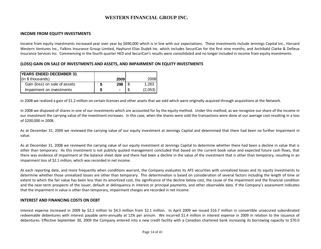#### INCOME FROM EQUITY INVESTMENTS

Income from equity investments increased year over year by \$690,000 which is in line with our expectations. These investments include Jennings Capital Inc., Harvard Western Ventures Inc., Falkins Insurance Group Limited, Hayhurst Elias Dudek Inc. which includes SecuriCan for the first nine months, and Archibald Clarke & Defieux Insurance Services Inc. Commencing in the fourth quarter HED and SecuriCan's results were consolidated and no longer included in income from equity investments.

#### (LOSS) GAIN ON SALE OF INVESTMENTS AND ASSETS, AND IMPAIRMENT ON EQUITY INVESTMENTS

| <b>YEARS ENDED DECEMBER 31</b>     |   |      |         |
|------------------------------------|---|------|---------|
| $\left  \right $ (in \$ thousands) |   | 2009 | 2008I   |
| Gain (loss) on sale of assets      | 2 | 298  | 1.263   |
| Impairment on investments          | S | ۰    | (2,053) |

In 2008 we realized a gain of \$1.2 million on certain licenses and other assets that we sold which were originally acquired through acquisitions at the Network.

In 2008 we disposed of shares in one of our investments which are accounted for by the equity method. Under this method, as we recognize our share of the income in our investment the carrying value of the investment increases. In this case, when the shares were sold the transactions were done at our average cost resulting in a loss of \$200,000 in 2008.

As at December 31, 2009 we reviewed the carrying value of our equity investment at Jennings Capital and determined that there had been no further impairment in value.

As at December 31, 2008 we reviewed the carrying value of our equity investment at Jennings Capital to determine whether there had been a decline in value that is other than temporary. As this investment is not publicly quoted management concluded that based on the current book value and expected future cash flows, that there was evidence of impairment at the balance sheet date and there had been a decline in the value of the investment that is other than temporary, resulting in an impairment loss of \$2.1 million, which was recorded in net income.

At each reporting date, and more frequently when conditions warrant, the Company evaluates its AFS securities with unrealized losses and its equity investments to determine whether those unrealized losses are other than temporary. This determination is based on consideration of several factors including the length of time or extent to which the fair value has been less than its amortized cost, the significance of the decline below cost, the cause of the impairment and the financial condition and the near-term prospects of the issuer, default or delinquency in interest or principal payments, and other observable data. If the Company's assessment indicates that the impairment in value is other than temporary, impairment charges are recorded in net income.

#### INTEREST AND FINANCING COSTS ON DEBT

Interest expense increased in 2009 by \$2.2 million to \$4.3 million from \$2.1 million. In April 2009 we issued \$16.7 million in convertible unsecured subordinated redeemable debentures with interest payable semi-annually at 12% per annum. We incurred \$1.4 million in interest expense in 2009 in relation to the issuance of debentures. Effective September 30, 2009 the Company entered into a new credit facility with a Canadian chartered bank increasing its borrowing capacity to \$70.0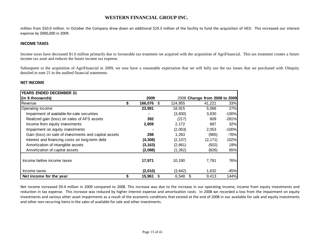million from \$50.0 million. In October the Company drew down an additional \$19.3 million of the facility to fund the acquisition of HED. This increased our interest expense by \$900,000 in 2009.

#### INCOME TAXES

Income taxes have decreased \$1.6 million primarily due to favourable tax treatment we acquired with the acquisition of AgriFinancial. This tax treatment creates a future income tax asset and reduces the future income tax expense.

Subsequent to the acquisition of AgriFinancial in 2009, we now have a reasonable expectation that we will fully use the tax losses that we purchased with Ubiquity detailed in note 21 in the audited financial statements.

#### NET INCOME

| <b>YEARS ENDED DECEMBER 31</b>                        |                     |            |                               |         |
|-------------------------------------------------------|---------------------|------------|-------------------------------|---------|
| (in \$ thousands)                                     | 2009                |            | 2008 Change from 2008 to 2009 |         |
| Revenue                                               | \$<br>166,076<br>\$ | 124,855    | 41,221                        | 33%     |
| Operating income                                      | 23,981              | 18,915     | 5,066                         | 27%     |
| Impairment of available-for-sale securities           |                     | (3,830)    | 3,830                         | $-100%$ |
| Realized gain (loss) on sales of AFS assets           | 392                 | (217)      | 609                           | $-281%$ |
| Income from equity investments                        | 2,859               | 2,172      | 687                           | 32%     |
| Impairment on equity investments                      |                     | (2,053)    | 2,053                         | $-100%$ |
| Gain (loss) on sale of investments and capital assets | 298                 | 1,263      | (965)                         | $-76%$  |
| Interest and financing costs on long-term debt        | (4,308)             | (2, 137)   | (2, 171)                      | 102%    |
| Amortization of intangible assets                     | (3, 163)            | (2,661)    | (502)                         | 19%     |
| Amortization of capital assets                        | (2,088)             | (1,262)    | (826)                         | 65%     |
|                                                       |                     |            |                               |         |
| Income before income taxes                            | 17,971              | 10,190     | 7,781                         | 76%     |
| Income taxes                                          | (2,010)             | (3,642)    | 1,632                         | $-45%$  |
| Net income for the year                               | 15,961<br>S         | 6,548<br>S | 9,413                         | 144%    |

Net income increased \$9.4 million in 2009 compared to 2008. This increase was due to the increase in our operating income, income from equity investments and reduction in tax expense. This increase was reduced by higher interest expense and amortization costs. In 2008 we recorded a loss from the impairment on equity investments and various other asset impairments as a result of the economic conditions that existed at the end of 2008 in our available for sale and equity investments and other non-recurring items in the sales of available for sale and other investments.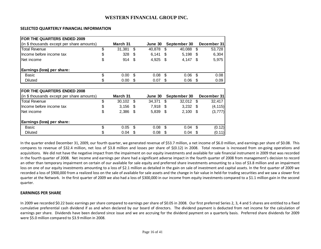#### SELECTED QUARTERLY FINANCIAL INFORMATION

| <b>FOR THE QUARTERS ENDED 2009</b>         |              |     |         |     |              |      |             |
|--------------------------------------------|--------------|-----|---------|-----|--------------|------|-------------|
| (in \$ thousands except per share amounts) | March 31     |     | June 30 |     | September 30 |      | December 31 |
| <b>Total Revenue</b>                       | \$<br>31,381 | \$  | 40,878  | \$  | 40,088       | \$   | 53,728      |
| Income before income tax                   | \$<br>328    | S   | 6,141   | S   | 5,198        | -S   | 6,304       |
| Net income                                 | \$<br>914    | S   | 4,925   | \$  | 4,147        | - \$ | 5,975       |
| Earnings (loss) per share:                 |              |     |         |     |              |      |             |
| <b>Basic</b>                               | \$<br>0.00   | \$  | 0.08    | \$. | 0.06         | \$   | 0.08        |
| <b>Diluted</b>                             | \$<br>0.00   | S   | 0.07    | S   | 0.06         | S    | 0.09        |
|                                            |              |     |         |     |              |      |             |
| <b>FOR THE QUARTERS ENDED 2008</b>         |              |     |         |     |              |      |             |
| (in \$ thousands except per share amounts) | March 31     |     | June 30 |     | September 30 |      | December 31 |
| <b>Total Revenue</b>                       | \$<br>30,102 | \$. | 34,371  | S   | 32,012       | \$   | 32,417      |
| Income before income tax                   | \$<br>3,156  | \$  | 7,918   | \$  | $3,232$ \$   |      | (4, 115)    |
| Net income                                 | \$<br>2,386  | S   | 5,839   | -\$ | 2,100        | -\$  | (3, 777)    |
| Earnings (loss) per share:                 |              |     |         |     |              |      |             |
| Basic                                      | \$<br>0.05   | \$  | 0.08    | \$  | 0.04         | \$   | (0.12)      |
| <b>Diluted</b>                             | \$<br>0.04   | S   | 0.08    | S   | 0.04         | S    | (0.11)      |

In the quarter ended December 31, 2009, our fourth quarter, we generated revenue of \$53.7 million, a net income of \$6.0 million, and earnings per share of \$0.08. This compares to revenue of \$32.4 million, net loss of \$3.8 million and losses per share of \$(0.12) in 2008. Total revenue is increased from on-going operations and acquisitions. We did not have the negative impact from the impairment on our equity investments and available for sale financial instrument in 2009 that was recorded in the fourth quarter of 2008. Net income and earnings per share had a significant adverse impact in the fourth quarter of 2008 from management's decision to record an other than temporary impairment on certain of our available for sale equity and preferred share investments amounting to a loss of \$3.8 million and an impairment loss on one of our equity investments amounting to a loss of \$2.1 million as detailed in the gain on sale of investment and capital assets. In the first quarter of 2009 we recorded a loss of \$900,000 from a realized loss on the sale of available for sale assets and the change in fair value in held-for trading securities and we saw a slower first quarter at the Network. In the first quarter of 2009 we also had a loss of \$300,000 in our income from equity investments compared to a \$1.1 million gain in the second quarter.

#### EARNINGS PER SHARE

In 2009 we recorded \$0.22 basic earnings per share compared to earnings per share of \$0.05 in 2008. Our first preferred Series 2, 3, 4 and 5 shares are entitled to a fixed cumulative preferential cash dividend if as and when declared by our board of directors. The dividend payment is deducted from net income for the calculation of earnings per share. Dividends have been declared since issue and we are accruing for the dividend payment on a quarterly basis. Preferred share dividends for 2009 were \$5.0 million compared to \$3.9 million in 2008.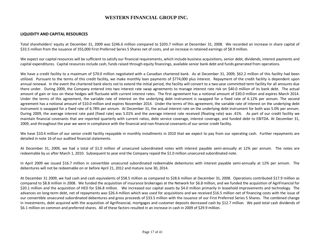#### LIQUIDITY AND CAPITAL RESOURCES

Total shareholders' equity at December 31, 2009 was \$246.6 million compared to \$203.7 million at December 31, 2008. We recorded an increase in share capital of \$33.5 million from the issuance of 355,000 First Preferred Series 5 Shares net of costs, and an increase in retained earnings of \$8.9 million.

We expect our capital resources will be sufficient to satisfy our financial requirements, which include business acquisitions, senior debt, dividends, interest payments and capital expenditures. Capital resources include cash, funds raised through equity financings, available senior bank debt and funds generated from operations.

We have a credit facility to a maximum of \$70.0 million negotiated with a Canadian chartered bank. As at December 31, 2009, \$62.2 million of this facility had been utilized. Pursuant to the terms of this credit facility, we make monthly loan payments of \$774,000 plus interest. Repayment of the credit facility is dependent upon annual renewal. In the event the chartered bank elects not to extend the initial period, the facility will convert to a two-year committed term facility for all amounts due there under. During 2009, the Company entered into two interest rate swap agreements to manage interest rate risk on \$40.0 million of its bank debt. The actual amount of gain or loss on these hedges will fluctuate with current interest rates. The first agreement has a notional amount of \$30.0 million and expires March 2014. Under the terms of this agreement, the variable rate of interest on the underlying debt instrument is swapped for a fixed rate of 6.12% per annum. The second agreement has a notional amount of \$10.0 million and expires November 2014. Under the terms of this agreement, the variable rate of interest on the underlying debt instrument is swapped for a fixed rate of 6.78% per annum. At December 31, the actual interest rate on the underlying debt instrument for both was 5.0% per annum. During 2009, the average interest rate paid (fixed rate) was 5.01% and the average interest rate received (floating rate) was .41%. As part of our credit facility we maintain financial covenants that are reported quarterly with current ratios, debt service coverage, interest coverage, and funded debt to EBITDA. At December 31, 2009, and throughout the year we were in compliance with the financial and non-financial covenants of our senior credit facility.

We have \$10.4 million of our senior credit facility repayable in monthly installments in 2010 that we expect to pay from our operating cash. Further repayments are detailed in note 16 of our audited financial statements.

At December 31, 2009, we had a total of \$1.0 million of unsecured subordinated notes with interest payable semi-annually at 12% per annum. The notes areredeemable by us after March 1, 2010. Subsequent to year end the Company repaid the \$1.0 million unsecured subordinated note.

In April 2009 we issued \$16.7 million in convertible unsecured subordinated redeemable debentures with interest payable semi-annually at 12% per annum. The debentures will not be redeemable on or before April 21, 2012 and mature June 30, 2014.

At December 31 2009, we had cash and cash equivalents of \$58.5 million as compared to \$28.6 million at December 31, 2008. Operations contributed \$17.9 million as compared to \$8.8 million in 2008. We funded the acquisition of insurance brokerages at the Network for \$6.8 million, and we funded the acquisition of AgriFinancial for \$20.1 million and the acquisition of HED for \$36.8 million. We increased our capital assets by \$4.0 million primarily in leasehold improvements and technology. The advances on long-term debt, net of repayments was \$26.4 million which was used for acquisitions and we received \$16.5 million net of financing costs with the issue of our convertible unsecured subordinated debentures and gross proceeds of \$33.5 million with the issuance of our First Preferred Series 5 Shares. The combined change in investments, debt acquired with the acquisition of Agrifinancial, mortgages and customer deposits decreased cash by \$12.7 million. We paid total cash dividends of \$6.1 million on common and preferred shares. All of these factors resulted in an increase in cash in 2009 of \$29.9 million.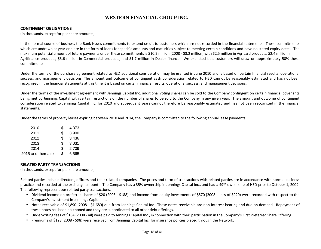#### CONTINGENT OBLIGATIONS

(in thousands, except for per share amounts)

In the normal course of business the Bank issues commitments to extend credit to customers which are not recorded in the financial statements. These commitments which are undrawn at year end are in the form of loans for specific amounts and maturities subject to meeting certain conditions and have no stated expiry dates. The maximum potential amount of future payments under these commitments is \$10.2 million (2008 - \$3.2 million) with \$2.5 million in Agricard products, \$2.4 million in Agrifinance products, \$3.6 million in Commercial products, and \$1.7 million in Dealer finance. We expected that customers will draw on approximately 50% these commitments.

Under the terms of the purchase agreement related to HED additional consideration may be granted in June 2010 and is based on certain financial results, operational success, and management decisions. The amount and outcome of contingent cash consideration related to HED cannot be reasonably estimated and has not beenrecognized in the financial statements at this time it is based on certain financial results, operational success, and management decisions.

Under the terms of the investment agreement with Jennings Capital Inc. additional voting shares can be sold to the Company contingent on certain financial covenants being met by Jennings Capital with certain restrictions on the number of shares to be sold to the Company in any given year. The amount and outcome of contingent consideration related to Jennings Capital Inc. for 2010 and subsequent years cannot therefore be reasonably estimated and has not been recognized in the financial statements.

Under the terms of property leases expiring between 2010 and 2014, the Company is committed to the following annual lease payments:

| 2010                | \$<br>4,373 |
|---------------------|-------------|
| 2011                | \$<br>3,900 |
| 2012                | \$<br>3,436 |
| 2013                | \$<br>3,031 |
| 2014                | \$<br>2,709 |
| 2015 and thereafter | \$<br>6,565 |
|                     |             |

#### RELATED PARTY TRANSACTIONS

(in thousands, except for per share amounts)

Related parties include directors, officers and their related companies. The prices and term of transactions with related parties are in accordance with normal business practice and recorded at the exchange amount. The Company has a 35% ownership in Jennings Capital Inc., and had a 49% ownership of HED prior to October 1, 2009. The following represent our related party transactions.

- Dividend income on preferred shares of \$20 (2008 \$188) and income from equity investments of \$570 (2008 loss of \$920) were recorded with respect to the Company's investment in Jennings Capital Inc.
- Notes receivable of \$1,890 (2008 \$1,680) due from Jennings Capital Inc. These notes receivable are non-interest bearing and due on demand. Repayment of these notes has been postponed and they are subordinated to all other debt offerings.
- Underwriting fees of \$184 (2008 nil) were paid to Jennings Capital Inc., in connection with their participation in the Company's First Preferred Share Offering.
- Premiums of \$128 (2008 \$98) were received from Jennings Capital Inc. for insurance policies placed through the Network.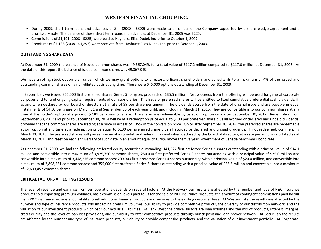- During 2009, short term loans and advances of \$nil (2008 \$300) were made to an officer of the Company supported by a share pledge agreement and a promissory note. The balance of these short term loans and advances at December 31, 2009 was \$225.
- Commissions of \$1,191 (2008 \$225) were paid to Hayhurst Elias Dudek Inc. prior to October 1, 2009.
- Premiums of \$7,188 (2008 \$1,297) were received from Hayhurst Elias Dudek Inc. prior to October 1, 2009.

# OUTSTANDING SHARE DATA

At December 31, 2009 the balance of issued common shares was 49,367,049, for a total value of \$117.2 million compared to \$117.0 million at December 31, 2008. At the date of this report the balance of issued common shares was 49,367,049.

We have a rolling stock option plan under which we may grant options to directors, officers, shareholders and consultants to a maximum of 4% of the issued and outstanding common shares on a non-diluted basis at any time. There were 645,000 options outstanding at December 31, 2009.

In September, we issued 355,000 first preferred shares, Series 5 for gross proceeds of \$35.5 million. Net proceeds from the offering will be used for general corporate purposes and to fund ongoing capital requirements of our subsidiaries. This issue of preferred shares will be entitled to fixed cumulative preferential cash dividends, if, as and when declared by our board of directors at a rate of \$9 per share per annum. The dividends accrue from the date of original issue and are payable in equal installments of \$4.50 per share on March 31 and September 30 of each year until, and including, March 31, 2015. They are convertible into our common shares at any time at the holder's option at a price of \$2.81 per common share. The shares are redeemable by us at our option only after September 30, 2012. Redemption from September 30, 2012 and prior to September 30, 2014 will be at a redemption price equal to \$100 per preferred share plus all accrued or declared and unpaid dividends, provided that the common shares are trading at a price in excess of 135% of the conversion price. On or after September 30, 2014, the preferred shares are redeemable at our option at any time at a redemption price equal to \$100 per preferred share plus all accrued or declared and unpaid dividends. If not redeemed, commencing March 31, 2015, the preferred shares will pay semi-annual a cumulative dividend if, as and when declared by the board of directors, at a rate per annum calculated as at March 31, 2015 and reset on each anniversary of such date in an amount equal to 6.28% above the five year Government of Canada benchmark bond rate.

At December 31, 2009, we had the following preferred equity securities outstanding: 141,327 first preferred Series 2 shares outstanding with a principal value of \$14.1 million and convertible into a maximum of 3,925,750 common shares; 250,000 first preferred Series 3 shares outstanding with a principal value of \$25.0 million and convertible into a maximum of 3,448,276 common shares; 200,000 first preferred Series 4 shares outstanding with a principal value of \$20.0 million, and convertible into a maximum of 2,898,551 common shares; and 355,000 first preferred Series 5 shares outstanding with a principal value of \$35.5 million and convertible into a maximum of 12,633,452 common shares.

# CRITICAL FACTORS AFFECTING RESULTS

The level of revenue and earnings from our operations depends on several factors. At the Network our results are affected by the number and type of P&C insurance products sold impacting premium volumes, basic commission levels paid to us for the sale of P&C insurance products, the amount of contingent commissions paid by our main P&C insurance providers, our ability to sell additional financial products and services to the existing customer base. At Western Life the results are affected by the number and type of insurance products sold impacting premium volumes, our ability to provide competitive products, the diversity of our distribution network, and the valuation of our investment products which back our actuarial liabilities. At Bank West the critical factors are loan volumes and the mix of products, interest margins, credit quality and the level of loan loss provisions, and our ability to offer competitive products through our deposit and loan broker network. At SecuriCan the results are affected by the number and type of insurance products, our ability to provide competitive products, and the valuation of our investment portfolio. At Corporate,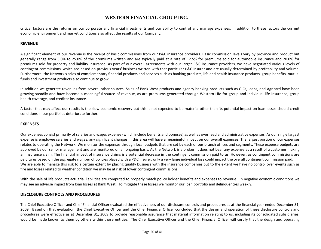critical factors are the returns on our corporate and financial investments and our ability to control and manage expenses. In addition to these factors the current economic environment and market conditions also affect the results of our Company.

# **REVENUE**

A significant element of our revenue is the receipt of basic commissions from our P&C insurance providers. Basic commission levels vary by province and product but generally range from 5.0% to 25.0% of the premiums written and are typically paid at a rate of 12.5% for premiums sold for automobile insurance and 20.0% for premiums sold for property and liability insurance. As part of our overall agreements with our larger P&C insurance providers, we have negotiated various levels of contingent commissions, which are based on previous years' business written with that particular P&C insurer and are usually determined by profitability and volume. Furthermore, the Network's sales of complementary financial products and services such as banking products, life and health insurance products, group benefits, mutual funds and investment products also continue to grow.

In addition we generate revenues from several other sources. Sales of Bank West products and agency banking products such as GICs, loans, and Agricard have been growing steadily and have become a meaningful source of revenue, as are premiums generated through Western Life for group and individual life insurance, group health coverage, and creditor insurance.

A factor that may affect our results is the slow economic recovery but this is not expected to be material other than its potential impact on loan losses should credit conditions in our portfolios deteriorate further.

#### EXPENSES

Our expenses consist primarily of salaries and wages expense (which include benefits and bonuses) as well as overhead and administrative expenses. As our single largest expense is employee salaries and wages, any significant changes in this area will have a meaningful impact on our overall expenses. The largest portion of our expenses relates to operating the Network. We monitor the expenses through local budgets that are set by each of our branch offices and segments. These expense budgets are approved by our senior management and are monitored on an ongoing basis. As the Network is a broker, it does not bear any expense as a result of a customer making an insurance claim. The financial impact of insurance claims is a potential decrease in the contingent commission paid to us. However, as contingent commissions are paid to us based on the aggregate number of policies placed with a P&C insurer, only a very large individual loss could impact the overall contingent commission paid. We are able to manage this risk to a certain extent by placing quality business with the insurance companies but to the extent we have no control over events such as fire and losses related to weather condition we may be at risk of lower contingent commissions.

With the sale of life products actuarial liabilities are computed to properly match policy holder benefits and expenses to revenue. In negative economic conditions we may see an adverse impact from loan losses at Bank West. To mitigate these losses we monitor our loan portfolio and delinquencies weekly.

#### DISCLOSURE CONTROLS AND PROCEDURES

The Chief Executive Officer and Chief Financial Officer evaluated the effectiveness of our disclosure controls and procedures as at the financial year ended December 31, 2009. Based on that evaluation, the Chief Executive Officer and the Chief Financial Officer concluded that the design and operation of these disclosure controls and procedures were effective as at December 31, 2009 to provide reasonable assurance that material information relating to us, including its consolidated subsidiaries, would be made known to them by others within those entities. The Chief Executive Officer and the Chief Financial Officer will certify that the design and operating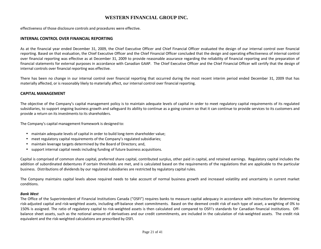effectiveness of those disclosure controls and procedures were effective.

#### INTERNAL CONTROL OVER FINANCIAL REPORTING

As at the financial year ended December 31, 2009, the Chief Executive Officer and Chief Financial Officer evaluated the design of our internal control over financial reporting. Based on that evaluation, the Chief Executive Officer and the Chief Financial Officer concluded that the design and operating effectiveness of internal control over financial reporting was effective as at December 31, 2009 to provide reasonable assurance regarding the reliability of financial reporting and the preparation of financial statements for external purposes in accordance with Canadian GAAP. The Chief Executive Officer and the Chief Financial Officer will certify that the design of internal controls over financial reporting was effective.

There has been no change in our internal control over financial reporting that occurred during the most recent interim period ended December 31, 2009 that has materially affected, or is reasonably likely to materially affect, our internal control over financial reporting.

#### CAPITAL MANAGEMENT

The objective of the Company's capital management policy is to maintain adequate levels of capital in order to meet regulatory capital requirements of its regulated subsidiaries, to support ongoing business growth and safeguard its ability to continue as a going concern so that it can continue to provide services to its customers and provide a return on its investments to its shareholders.

The Company's capital management framework is designed to:

- maintain adequate levels of capital in order to build long-term shareholder value;
- meet regulatory capital requirements of the Company's regulated subsidiaries;
- maintain leverage targets determined by the Board of Directors; and,
- support internal capital needs including funding of future business acquisitions.

Capital is comprised of common share capital, preferred share capital, contributed surplus, other paid in capital, and retained earnings. Regulatory capital includes the addition of subordinated debentures if certain thresholds are met, and is calculated based on the requirements of the regulations that are applicable to the particular business. Distributions of dividends by our regulated subsidiaries are restricted by regulatory capital rules.

The Company maintains capital levels above required needs to take account of normal business growth and increased volatility and uncertainty in current market conditions.

#### Bank West

The Office of the Superintendent of Financial Institutions Canada ("OSFI") requires banks to measure capital adequacy in accordance with instructions for determining risk-adjusted capital and risk-weighted assets, including off-balance sheet commitments. Based on the deemed credit risk of each type of asset, a weighting of 0% to 150% is assigned. The ratio of regulatory capital to risk-weighted assets is then calculated and compared to OSFI's standards for Canadian financial institutions. Offbalance sheet assets, such as the notional amount of derivatives and our credit commitments, are included in the calculation of risk-weighted assets. The credit risk equivalent and the risk-weighted calculations are prescribed by OSFI.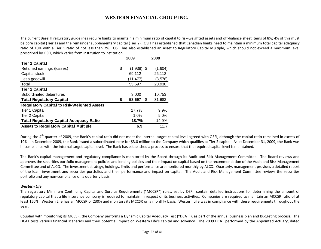The current Basel II regulatory guidelines require banks to maintain a minimum ratio of capital to risk-weighted assets and off-balance sheet items of 8%; 4% of this must be core capital (Tier 1) and the remainder supplementary capital (Tier 2). OSFI has established that Canadian banks need to maintain a minimum total capital adequacy ratio of 10% with a Tier 1 ratio of not less than 7%. OSFI has also established an Asset to Regulatory Capital Multiple, which should not exceed a maximum level prescribed by OSFI, which varies from institution to institution.

|                                                   | 2009               | 2008         |
|---------------------------------------------------|--------------------|--------------|
| <b>Tier 1 Capital</b>                             |                    |              |
| Retained earnings (losses)                        | \$<br>$(1,938)$ \$ | (1,604)      |
| Capital stock                                     | 69,112             | 26,112       |
| Less goodwill                                     | (11,477)           | (3, 578)     |
| Total                                             | 55,697             | 20,930       |
| <b>Tier 2 Capital</b>                             |                    |              |
| Subordinated debentures                           | 3,000              | 10,753       |
| <b>Total Regulatory Capital</b>                   | \$<br>58,697       | \$<br>31,683 |
| <b>Regulatory Capital to Risk-Weighted Assets</b> |                    |              |
| Tier 1 Capital                                    | 17.7%              | $9.9\%$      |
| Tier 2 Capital                                    | 1.0%               | 5.0%         |
| <b>Total Regulatory Capital Adequacy Ratio</b>    | 18.7%              | 14.9%        |
| <b>Assets to Regulatory Capital Multiple</b>      | 6.9                | 11.7         |

During the 4<sup>th</sup> quarter of 2009, the Bank's capital ratio did not meet the internal target capital level agreed with OSFI, although the capital ratio remained in excess of 10%. In December 2009, the Bank issued a subordinated note for \$3.0 million to the Company which qualifies at Tier 2 capital. As at December 31, 2009, the Bank was in compliance with the internal target capital level. The Bank has established a process to ensure that the required capital level is maintained.

The Bank's capital management and regulatory compliance is monitored by the Board through its Audit and Risk Management Committee. The Board reviews and approves the securities portfolio management policies and lending policies and their impact on capital based on the recommendation of the Audit and Risk Management Committee and of ALCO. The investment strategy, holdings, limits and performance are monitored monthly by ALCO. Quarterly, management provides a detailed report of the loan, investment and securities portfolios and their performance and impact on capital. The Audit and Risk Management Committee reviews the securities portfolio and any non-compliance on a quarterly basis.

#### Western Life

The regulatory Minimum Continuing Capital and Surplus Requirements ("MCCSR") rules, set by OSFI, contain detailed instructions for determining the amount of regulatory capital that a life insurance company is required to maintain in respect of its business activities. Companies are required to maintain an MCCSR ratio of at least 150%. Western Life has an MCCSR of 230% and monitors its MCCSR on a monthly basis. Western Life was in compliance with these requirements throughout the year.

Coupled with monitoring its MCCSR, the Company performs a Dynamic Capital Adequacy Test ("DCAT"), as part of the annual business plan and budgeting process. The DCAT tests various financial scenarios and their potential impact on Western Life's capital and solvency. The 2009 DCAT performed by the Appointed Actuary, dated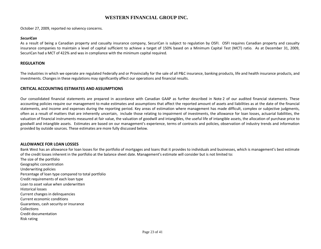October 27, 2009, reported no solvency concerns.

#### SecuriCan

As a result of being a Canadian property and casualty insurance company, SecuriCan is subject to regulation by OSFI. OSFI requires Canadian property and casualty insurance companies to maintain a level of capital sufficient to achieve a target of 150% based on a Minimum Capital Test (MCT) ratio. As at December 31, 2009, SecuriCan had a MCT of 422% and was in compliance with the minimum capital required.

#### REGULATION

The industries in which we operate are regulated Federally and or Provincially for the sale of all P&C insurance, banking products, life and health insurance products, and investments. Changes in these regulations may significantly affect our operations and financial results.

#### CRITICAL ACCOUNTING ESTIMATES AND ASSUMPTIONS

Our consolidated financial statements are prepared in accordance with Canadian GAAP as further described in Note 2 of our audited financial statements. These accounting policies require our management to make estimates and assumptions that affect the reported amount of assets and liabilities as at the date of the financial statements, and income and expenses during the reporting period. Key areas of estimation where management has made difficult, complex or subjective judgments, often as a result of matters that are inherently uncertain, include those relating to impairment of investments, the allowance for loan losses, actuarial liabilities, the valuation of financial instruments measured at fair value, the valuation of goodwill and intangibles, the useful life of intangible assets, the allocation of purchase price to goodwill and intangible assets. Estimates are based on our management's experience, terms of contracts and policies, observation of industry trends and information provided by outside sources. These estimates are more fully discussed below.

#### ALLOWANCE FOR LOAN LOSSES

Bank West has an allowance for loan losses for the portfolio of mortgages and loans that it provides to individuals and businesses, which is management's best estimate of the credit losses inherent in the portfolio at the balance sheet date. Management's estimate will consider but is not limited to:

The size of the portfolio Geographic concentration Underwriting policies Percentage of loan type compared to total portfolio Credit requirements of each loan type Loan to asset value when underwritten Historical losses Current changes in delinquencies Current economic conditions Guarantees, cash security or insurance **Collections**  Credit documentation Risk rating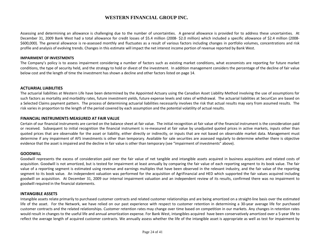Assessing and determining an allowance is challenging due to the number of uncertainties. A general allowance is provided for to address these uncertainties. At December 31, 2009 Bank West had a total allowance for credit losses of \$5.4 million (2008- \$2.0 million) which included a specific allowance of \$2.4 million (2008- \$600,000). The general allowance is re-assessed monthly and fluctuates as a result of various factors including changes in portfolio volumes, concentrations and risk profile and analysis of evolving trends. Changes in this estimate will impact the net interest income portion of revenue reported by Bank West.

#### IMPAIRMENT OF INVESTMENTS

The Company's policy is to assess impairment considering a number of factors such as existing market conditions, what economists are reporting for future market conditions, the type of security held, and the strategy to hold or divest of the investment. In addition management considers the percentage of the decline of fair value below cost and the length of time the investment has shown a decline and other factors listed on page 14.

#### ACTUARIAL LIABILITIES

The actuarial liabilities at Western Life have been determined by the Appointed Actuary using the Canadian Asset Liability Method involving the use of assumptions for such factors as mortality and morbidity rates, future investment yields, future expense levels and rates of withdrawal. The actuarial liabilities at SecuriCan are based on a Selected Claims payment pattern. The process of determining actuarial liabilities necessarily involves the risk that actual results may vary from assumed results. The risk varies in proportion to the length of the period covered by each assumption and the potential volatility of actual results.

#### FINANCIAL INSTRUMENTS MEASURED AT FAIR VALUE

Certain of our financial instruments are carried on the balance sheet at fair value. The initial recognition at fair value of the financial instrument is the consideration paid or received. Subsequent to initial recognition the financial instrument is re-measured at fair value by unadjusted quoted prices in active markets, inputs other than quoted prices that are observable for the asset or liability, either directly or indirectly, or inputs that are not based on observable market data. Management must determine if any impairment of AFS investments is other than temporary. Available for sale securities are assessed regularly to determine whether there is objective evidence that the asset is impaired and the decline in fair value is other than temporary (see "impairment of investments" above).

#### **GOODWILL**

Goodwill represents the excess of consideration paid over the fair value of net tangible and intangible assets acquired in business acquisitions and related costs of acquisition. Goodwill is not amortized, but is tested for impairment at least annually by comparing the fair value of each reporting segment to its book value. The fair value of a reporting segment is estimated using revenue and earnings multiples that have been observed in the relevant industry, and the fair value of the reporting segment to its book value. An independent valuation was performed for the acquisition of AgriFinancial and HED which supported the fair values acquired including goodwill on acquisition. At December 31, 2009 our internal impairment valuation and an independent review of its results, confirmed there was no impairment to goodwill required in the financial statements.

#### INTANGIBLE ASSETS

Intangible assets relate primarily to purchased customer contracts and related customer relationships and are being amortized on a straight-line basis over the estimated life of the asset. For the Network, we have relied on our past experience with respect to customer retention in determining a 30-year average life for purchased customer contracts and the related relationships. Customer retention rates may change over time based on competition in our markets. Any changes in retention rates would result in changes to the useful life and annual amortization expense. For Bank West, intangibles acquired have been conservatively amortized over a 5-year life to reflect the average length of acquired customer contracts. We annually assess whether the life of the intangible asset is appropriate as well as test for impairment by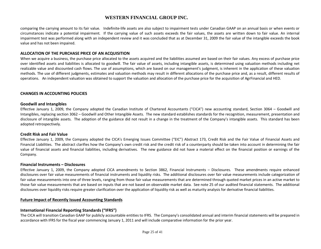comparing the carrying amount to its fair value. Indefinite-life assets are also subject to impairment tests under Canadian GAAP on an annual basis or when events or circumstances indicate a potential impairment. If the carrying value of such assets exceeds the fair values, the assets are written down to fair value. An internal impairment test was performed along with an independent review and it was concluded that as at December 31, 2009 the fair value of the intangible exceeds the book value and has not been impaired.

#### ALLOCATION OF THE PURCHASE PRICE OF AN ACQUISITION

When we acquire a business, the purchase price allocated to the assets acquired and the liabilities assumed are based on their fair values. Any excess of purchase price over identified assets and liabilities is allocated to goodwill. The fair value of assets, including intangible assets, is determined using valuation methods including net realizable value and discounted cash flows. The use of assumptions, which are based on our management's judgment, is inherent in the application of these valuation methods. The use of different judgments, estimates and valuation methods may result in different allocations of the purchase price and, as a result, different results of operations. An independent valuation was obtained to support the valuation and allocation of the purchase price for the acquisition of AgrFinancial and HED.

#### CHANGES IN ACCOUNTING POLICIES

#### Goodwill and Intangibles

Effective January 1, 2009, the Company adopted the Canadian Institute of Chartered Accountants ("CICA") new accounting standard, Section 3064 – Goodwill and Intangibles, replacing section 3062 – Goodwill and Other Intangible Assets. The new standard establishes standards for the recognition, measurement, presentation and disclosure of intangible assets. The adoption of the guidance did not result in a change in the treatment of the Company's intangible assets. This standard has been adopted retrospectively.

#### Credit Risk and Fair Value

Effective January 1, 2009, the Company adopted the CICA's Emerging Issues Committee ("EIC") Abstract 173, Credit Risk and the Fair Value of Financial Assets and Financial Liabilities. The abstract clarifies how the Company's own credit risk and the credit risk of a counterparty should be taken into account in determining the fair value of financial assets and financial liabilities, including derivatives. The new guidance did not have a material effect on the financial position or earnings of the Company.

#### Financial Instruments – Disclosures

Effective January 1, 2009, the Company adopted CICA amendments to Section 3862, Financial Instruments – Disclosures. These amendments require enhanced disclosures over fair value measurements of financial instruments and liquidity risks. The additional disclosures over fair value measurements include categorization of fair value measurements into one of three levels, ranging from those fair value measurements that are determined through quoted market prices in an active market to those fair value measurements that are based on inputs that are not based on observable market data. See note 25 of our audited financial statements. The additional disclosures over liquidity risks require greater clarification over the application of liquidity risk as well as maturity analysis for derivative financial liabilities.

#### Future Impact of Recently Issued Accounting Standards

#### International Financial Reporting Standards ("IFRS")

The CICA will transition Canadian GAAP for publicly accountable entities to IFRS. The Company's consolidated annual and interim financial statements will be prepared in accordance with IFRS for the fiscal year commencing January 1, 2011 and will include comparative information for the prior year.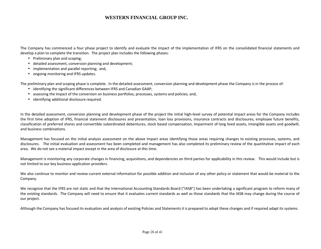The Company has commenced a four phase project to identify and evaluate the impact of the implementation of IFRS on the consolidated financial statements and develop a plan to complete the transition. The project plan includes the following phases:

- Preliminary plan and scoping;
- detailed assessment, conversion planning and development;
- implementation and parallel reporting; and,
- ongoing monitoring and IFRS updates.

The preliminary plan and scoping phase is complete. In the detailed assessment, conversion planning and development phase the Company is in the process of:

- Identifying the significant differences between IFRS and Canadian GAAP;
- assessing the impact of the conversion on business portfolios, processes, systems and policies; and,
- identifying additional disclosure required.

In the detailed assessment, conversion planning and development phase of the project the initial high-level survey of potential impact areas for the Company includes the first time adoption of IFRS, financial statement disclosures and presentation, loan loss provisions, insurance contracts and disclosures, employee future benefits, classification of preferred shares and convertible subordinated debentures, stock based compensation, impairment of long lived assets, intangible assets and goodwill, and business combinations.

Management has focused on the initial analysis assessment on the above impact areas identifying those areas requiring changes to existing processes, systems, and disclosures. The initial evaluation and assessment has been completed and management has also completed its preliminary review of the quantitative impact of each area. We do not see a material impact except in the area of disclosure at this time.

Management is monitoring any corporate changes in financing, acquisitions, and dependencies on third parties for applicability in this review. This would include but is not limited to our key business application providers.

We also continue to monitor and review current external information for possible addition and inclusion of any other policy or statement that would be material to the Company.

We recognize that the IFRS are not static and that the International Accounting Standards Board ("IASB") has been undertaking a significant program to reform many of the existing standards. The Company will need to ensure that it evaluates current standards as well as those standards that the IASB may change during the course of our project.

Although the Company has focused its evaluation and analysis of existing Policies and Statements it is prepared to adopt these changes and if required adapt its systems.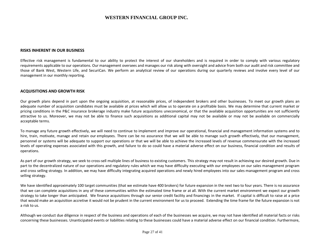#### RISKS INHERENT IN OUR BUSINESS

Effective risk management is fundamental to our ability to protect the interest of our shareholders and is required in order to comply with various regulatory requirements applicable to our operations. Our management oversees and manages our risk along with oversight and advice from both our audit and risk committee and those of Bank West, Western Life, and SecuriCan. We perform an analytical review of our operations during our quarterly reviews and involve every level of our management in our monthly reporting.

#### ACQUISITIONS AND GROWTH RISK

Our growth plans depend in part upon the ongoing acquisition, at reasonable prices, of independent brokers and other businesses. To meet our growth plans an adequate number of acquisition candidates must be available at prices which will allow us to operate on a profitable basis. We may determine that current market or pricing conditions in the P&C insurance brokerage industry make future acquisitions uneconomical, or that the available acquisition opportunities are not sufficiently attractive to us. Moreover, we may not be able to finance such acquisitions as additional capital may not be available or may not be available on commercially acceptable terms.

To manage any future growth effectively, we will need to continue to implement and improve our operational, financial and management information systems and to hire, train, motivate, manage and retain our employees. There can be no assurance that we will be able to manage such growth effectively, that our management, personnel or systems will be adequate to support our operations or that we will be able to achieve the increased levels of revenue commensurate with the increased levels of operating expenses associated with this growth, and failure to do so could have a material adverse effect on our business, financial condition and results of operations.

As part of our growth strategy, we seek to cross-sell multiple lines of business to existing customers. This strategy may not result in achieving our desired growth. Due in part to the decentralized nature of our operations and regulatory rules which we may have difficulty executing with our employees on our sales management program and cross selling strategy. In addition, we may have difficulty integrating acquired operations and newly hired employees into our sales management program and cross selling strategy.

We have identified approximately 100 target communities (that we estimate have 400 brokers) for future expansion in the next two to four years. There is no assurance that we can complete acquisitions in any of these communities within the estimated time frame or at all. With the current market environment we expect our growth strategy to take longer than anticipated. We finance acquisitions through our senior credit facility and financings in the market. If capital is difficult to raise at a price that would make an acquisition accretive it would not be prudent in the current environment for us to proceed. Extending the time frame for the future expansion is not a risk to us.

Although we conduct due diligence in respect of the business and operations of each of the businesses we acquire, we may not have identified all material facts or risks concerning these businesses. Unanticipated events or liabilities relating to these businesses could have a material adverse effect on our financial condition. Furthermore,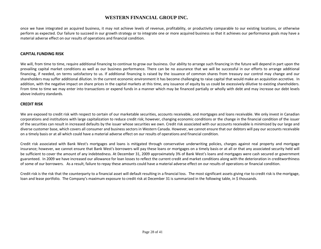once we have integrated an acquired business, it may not achieve levels of revenue, profitability, or productivity comparable to our existing locations, or otherwise perform as expected. Our failure to succeed in our growth strategy or to integrate one or more acquired business so that it achieves our performance goals may have a material adverse effect on our results of operations and financial condition.

#### CAPITAL FUNDING RISK

We will, from time to time, require additional financing to continue to grow our business. Our ability to arrange such financing in the future will depend in part upon the prevailing capital market conditions as well as our business performance. There can be no assurance that we will be successful in our efforts to arrange additional financing, if needed, on terms satisfactory to us. If additional financing is raised by the issuance of common shares from treasury our control may change and our shareholders may suffer additional dilution. In the current economic environment it has become challenging to raise capital that would make an acquisition accretive. In addition, with the negative impact on share prices in the capital markets at this time, any issuance of equity by us could be excessively dilutive to existing shareholders. From time to time we may enter into transactions or expend funds in a manner which may be financed partially or wholly with debt and may increase our debt levels above industry standards.

#### CREDIT RISK

We are exposed to credit risk with respect to certain of our marketable securities, accounts receivable, and mortgages and loans receivable. We only invest in Canadian corporations and institutions with large capitalization to reduce credit risk; however, changing economic conditions or the change in the financial condition of the issuer of the securities can result in increased defaults by the issuer whose securities we own. Credit risk associated with our accounts receivable is minimized by our large and diverse customer base, which covers all consumer and business sectors in Western Canada. However, we cannot ensure that our debtors will pay our accounts receivable on a timely basis or at all which could have a material adverse effect on our results of operations and financial condition.

Credit risk associated with Bank West's mortgages and loans is mitigated through conservative underwriting policies, charges against real property and mortgage insurance; however, we cannot ensure that Bank West's borrowers will pay these loans or mortgages on a timely basis or at all or that any associated security held will be sufficient to cover the amount of any indebtedness. At December 31, 2009 approximately 3% of Bank West's loans and mortgages were cash secured or government guaranteed. In 2009 we have increased our allowance for loan losses to reflect the current credit and market conditions along with the deterioration in creditworthiness of some of our borrowers. As a result, failure to repay these amounts could have a material adverse effect on our results of operations or financial condition.

Credit risk is the risk that the counterparty to a financial asset will default resulting in a financial loss. The most significant assets giving rise to credit risk is the mortgage, loan and lease portfolio. The Company's maximum exposure to credit risk at December 31 is summarized in the following table, in \$ thousands.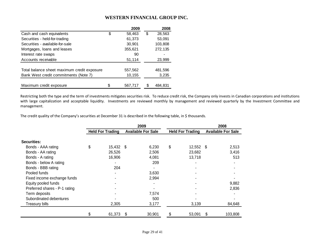|                                             |    | 2009    | 2008         |
|---------------------------------------------|----|---------|--------------|
| Cash and cash equivalents                   | \$ | 58,463  | \$<br>28,563 |
| Securities - held-for-trading               |    | 61,373  | 53,091       |
| Securities - available-for-sale             |    | 30,901  | 103,808      |
| Mortgages, loans and leases                 |    | 355,621 | 272,135      |
| Interest rate swaps                         |    | 90      |              |
| Accounts receivable                         |    | 51,114  | 23,999       |
| Total balance sheet maximum credit exposure |    | 557,562 | 481,596      |
| Bank West credit commitments (Note 7)       |    | 10,155  | 3,235        |
|                                             |    |         |              |
| Maximum credit exposure                     | S. | 567,717 | 484.831      |

Restricting both the type and the term of investments mitigates securities risk. To reduce credit risk, the Company only invests in Canadian corporations and institutions with large capitalization and acceptable liquidity. Investments are reviewed monthly by management and reviewed quarterly by the Investment Committee and management.

The credit quality of the Company's securities at December 31 is described in the following table, in \$ thousands.

|                               |                         |      | 2009                      |                         |   | 2008                      |
|-------------------------------|-------------------------|------|---------------------------|-------------------------|---|---------------------------|
|                               | <b>Held For Trading</b> |      | <b>Available For Sale</b> | <b>Held For Trading</b> |   | <b>Available For Sale</b> |
| Securities:                   |                         |      |                           |                         |   |                           |
| Bonds - AAA rating            | \$<br>15,432            | - \$ | 6,230                     | \$<br>$12,552$ \$       |   | 2,513                     |
| Bonds - AA rating             | 26,526                  |      | 2,506                     | 23,682                  |   | 3,416                     |
| Bonds - A rating              | 16,906                  |      | 4,081                     | 13,718                  |   | 513                       |
| Bonds - below A rating        |                         |      | 209                       |                         |   |                           |
| Bonds - BBB rating            | 204                     |      |                           |                         |   |                           |
| Pooled funds                  |                         |      | 3,630                     |                         |   |                           |
| Fixed income exchange funds   |                         |      | 2,994                     |                         |   |                           |
| Equity pooled funds           |                         |      |                           |                         |   | 9,882                     |
| Preferred shares - P-1 rating |                         |      |                           |                         |   | 2,836                     |
| Term deposits                 |                         |      | 7,574                     |                         |   |                           |
| Subordinated debentures       |                         |      | 500                       |                         |   |                           |
| Treasury bills                | 2,305                   |      | 3,177                     | 3,139                   |   | 84,648                    |
|                               | \$<br>61,373            | S    | 30,901                    | \$<br>53,091            | S | 103,808                   |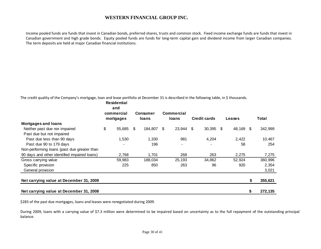Income pooled funds are funds that invest in Canadian bonds, preferred shares, trusts and common stock. Fixed income exchange funds are funds that invest in Canadian government and high grade bonds. Equity pooled funds are funds for long-term capital gain and dividend income from larger Canadian companies. The term deposits are held at major Canadian financial institutions.

The credit quality of the Company's mortgage, loan and lease portfolio at December 31 is described in the following table, in \$ thousands.  **Residential** 

|                                              | <b>Residential</b><br>and<br>commercial<br>mortgages | <b>Consumer</b><br><b>loans</b> |    | Commercial<br>loans | <b>Credit cards</b> | Leases |      | Total   |
|----------------------------------------------|------------------------------------------------------|---------------------------------|----|---------------------|---------------------|--------|------|---------|
| <b>Mortgages and loans</b>                   |                                                      |                                 |    |                     |                     |        |      |         |
| Neither past due nor impaired                | \$<br>55,685                                         | \$<br>184,807                   | -S | 23,944 \$           | $30,395$ \$         | 48,169 | - \$ | 342,999 |
| Past due but not impaired                    |                                                      |                                 |    |                     |                     |        |      |         |
| Past due less than 90 days                   | 1,530                                                | 1,330                           |    | 981                 | 4,204               | 2,422  |      | 10,467  |
| Past due 90 to 179 days                      |                                                      | 196                             |    |                     |                     | 58     |      | 254     |
| Non-performing loans (past due greater than  |                                                      |                                 |    |                     |                     |        |      |         |
| 90 days and other identified impaired loans) | 2,768                                                | 1.701                           |    | 268                 | 263                 | 2,275  |      | 7,275   |
| Gross carrying value                         | 59,983                                               | 188,034                         |    | 25,193              | 34,862              | 52,924 |      | 360,996 |
| Specific provision                           | 225                                                  | 850                             |    | 263                 | 96                  | 920    |      | 2,354   |
| General provision                            |                                                      |                                 |    |                     |                     |        |      | 3,021   |
|                                              |                                                      |                                 |    |                     |                     |        |      |         |
| Net carrying value at December 31, 2009      |                                                      |                                 |    |                     |                     |        | S    | 355,621 |
| Net carrying value at December 31, 2008      |                                                      |                                 |    |                     |                     |        | S    | 272,135 |

\$283 of the past due mortgages, loans and leases were renegotiated during 2009.

During 2009, loans with a carrying value of \$7.3 million were determined to be impaired based on uncertainty as to the full repayment of the outstanding principal balance.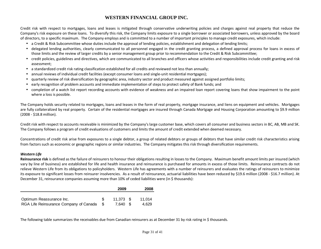Credit risk with respect to mortgages, loans and leases is mitigated through conservative underwriting policies and charges against real property that reduce the Company's risk exposure on these loans. To diversify this risk, the Company limits exposure to a single borrower or associated borrowers, unless approved by the board of directors, to a specific maximum. The Company employs and is committed to a number of important principles to manage credit exposures, which include:

- a Credit & Risk Subcommittee whose duties include the approval of lending policies, establishment and delegation of lending limits;
- delegated lending authorities, clearly communicated to all personnel engaged in the credit granting process, a defined approval process for loans in excess of those limits and the review of larger credits by a senior management group prior to recommendation to the Credit & Risk Subcommittee;
- credit policies, guidelines and directives, which are communicated to all branches and officers whose activities and responsibilities include credit granting and risk assessment;
- $\bullet$  a standardized credit risk rating classification established for all credits and reviewed not less than annually;
- annual reviews of individual credit facilities (except consumer loans and single-unit residential mortgages);
- quarterly review of risk diversification by geographic area, industry sector and product measured against assigned portfolio limits;
- •early recognition of problem accounts and immediate implementation of steps to protect safety of Bank funds; and
- completion of a watch list report recording accounts with evidence of weakness and an impaired loan report covering loans that show impairment to the point where a loss is possible.

The Company holds security related to mortgages, loans and leases in the form of real property, mortgage insurance, and liens on equipment and vehicles. Mortgages are fully collateralized by real property. Certain of the residential mortgages are insured through Canada Mortgage and Housing Corporation amounting to \$9.9 million (2008 - \$18.8 million).

Credit risk with respect to accounts receivable is minimized by the Company's large customer base, which covers all consumer and business sectors in BC, AB, MB and SK. The Company follows a program of credit evaluations of customers and limits the amount of credit extended when deemed necessary.

Concentrations of credit risk arise from exposures to a single debtor, a group of related debtors or groups of debtors that have similar credit risk characteristics arising from factors such as economic or geographic regions or similar industries. The Company mitigates this risk through diversification requirements.

#### Western Life

Reinsurance risk is defined as the failure of reinsurers to honour their obligations resulting in losses to the Company. Maximum benefit amount limits per insured (which vary by line of business) are established for life and health insurance and reinsurance is purchased for amounts in excess of those limits. Reinsurance contracts do not relieve Western Life from its obligations to policyholders. Western Life has agreements with a number of reinsurers and evaluates the ratings of reinsurers to minimize its exposure to significant losses from reinsurer insolvencies. As a result of reinsurance, actuarial liabilities have been reduced by \$19.6 million (2008 - \$16.7 million). At December 31, reinsurance companies assuming more than 10% of ceded liabilities were (in \$ thousands):

|                                                                    |      | 2009                   | 2008            |
|--------------------------------------------------------------------|------|------------------------|-----------------|
| Optimum Reassurance Inc.<br>RGA Life Reinsurance Company of Canada | - \$ | $11.373$ \$<br>7.640 S | 11.014<br>4.629 |

The following table summarizes the receivables due from Canadian reinsurers as at December 31 by risk rating in \$ thousands.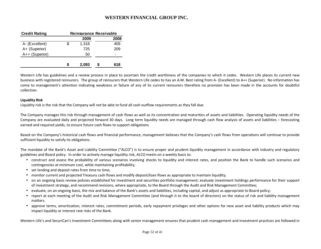| <b>Credit Rating</b> |    | <b>Reinsurance Receivable</b> |      |
|----------------------|----|-------------------------------|------|
|                      |    | 2009                          | 2008 |
| A- (Excellent)       | \$ | 1,318                         | 409  |
| A+ (Superior)        |    | 725                           | 209  |
| A++ (Superior)       |    | 50                            | -    |
|                      | S  | 2,093                         | 618  |

Western Life has guidelines and a review process in place to ascertain the credit worthiness of the companies to which it cedes. Western Life places its current new business with registered reinsurers. The group of reinsurers that Western Life cedes to has an A.M. Best rating from A- (Excellent) to A++ (Superior). No information has come to management's attention indicating weakness or failure of any of its current reinsurers therefore no provision has been made in the accounts for doubtful collection.

#### Liquidity Risk

Liquidity risk is the risk that the Company will not be able to fund all cash outflow requirements as they fall due.

The Company manages this risk through management of cash flows as well as its concentration and maturities of assets and liabilities. Operating liquidity needs of the Company are evaluated daily and projected forward 30 days. Long term liquidity needs are managed through cash flow analysis of assets and liabilities – forecasting earned and required yields, to ensure future cash flows to support obligations.

Based on the Company's historical cash flows and financial performance, management believes that the Company's cash flows from operations will continue to provide sufficient liquidity to satisfy its obligations.

The mandate of the Bank's Asset and Liability Committee ("ALCO") is to ensure proper and prudent liquidity management in accordance with industry and regulatory guidelines and Board policy. In order to actively manage liquidity risk, ALCO meets on a weekly basis to:

- construct and assess the probability of various scenarios involving shocks to liquidity and interest rates, and position the Bank to handle such scenarios and contingencies at minimum cost, while maintaining profitability;
- set lending and deposit rates from time to time;
- monitor current and projected Treasury cash flows and modify deposit/loan flows as appropriate to maintain liquidity;
- on an ongoing basis review policies established for investment and securities portfolio management; evaluate investment holdings performance for their support of investment strategy, and recommend revisions, where appropriate, to the Board through the Audit and Risk Management Committee;
- evaluate, on an ongoing basis, the mix and balance of the Bank's assets and liabilities, including capital, and adjust as appropriate to Board policy;
- report at each meeting of the Audit and Risk Management Committee (and through it to the board of directors) on the status of risk and liability management matters.
- approve terms, amortization, interest rates, commitment periods, early repayment privileges and other options for new asset and liability products which may impact liquidity or interest rate risks of the Bank.

Western Life's and SecuriCan's Investment Committees along with senior management ensures that prudent cash management and investment practices are followed in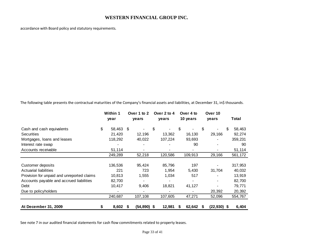accordance with Board policy and statutory requirements.

The following table presents the contractual maturities of the Company's financial assets and liabilities, at December 31, in\$ thousands.

|                                            | Within 1<br>year |    | Over 1 to 2<br>years | Over 2 to 4<br>years |    | Over 4 to<br>10 years |   | Over 10<br>years         | Total   |
|--------------------------------------------|------------------|----|----------------------|----------------------|----|-----------------------|---|--------------------------|---------|
| Cash and cash equivalents                  | \$<br>58,463     | \$ |                      | \$                   | \$ |                       | S |                          | 58,463  |
| <b>Securities</b>                          | 21,420           |    | 12,196               | 13,362               |    | 16,130                |   | 29,166                   | 92,274  |
| Mortgages, loans and leases                | 118,292          |    | 40,022               | 107,224              |    | 93,693                |   |                          | 359,231 |
| Interest rate swap                         |                  |    |                      |                      |    | 90                    |   | $\overline{\phantom{a}}$ | 90      |
| Accounts receivable                        | 51,114           |    |                      |                      |    | $\blacksquare$        |   |                          | 51,114  |
|                                            | 249,289          |    | 52,218               | 120,586              |    | 109,913               |   | 29,166                   | 561,172 |
| Customer deposits                          | 136,536          |    | 95,424               | 85,796               |    | 197                   |   |                          | 317,953 |
| <b>Actuarial liabilities</b>               | 221              |    | 723                  | 1,954                |    | 5,430                 |   | 31,704                   | 40,032  |
| Provision for unpaid and unreported claims | 10,813           |    | 1,555                | 1,034                |    | 517                   |   |                          | 13,919  |
| Accounts payable and accrued liabilities   | 82,700           |    |                      |                      |    | -                     |   | $\blacksquare$           | 82,700  |
| Debt                                       | 10,417           |    | 9,406                | 18,821               |    | 41,127                |   |                          | 79,771  |
| Due to policyholders                       |                  |    |                      |                      |    |                       |   | 20,392                   | 20,392  |
|                                            | 240,687          |    | 107,108              | 107,605              |    | 47,271                |   | 52,096                   | 554,767 |
| At December 31, 2009                       | \$<br>8,602      | 5  | $(54, 890)$ \$       | 12,981               | S  | 62,642                | 5 | $(22,930)$ \$            | 6,404   |

See note 7 in our audited financial statements for cash flow commitments related to property leases.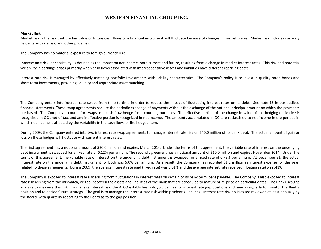#### Market Risk

Market risk is the risk that the fair value or future cash flows of a financial instrument will fluctuate because of changes in market prices. Market risk includes currency risk, interest rate risk, and other price risk.

The Company has no material exposure to foreign currency risk.

Interest rate risk, or sensitivity, is defined as the impact on net income, both current and future, resulting from a change in market interest rates. This risk and potential variability in earnings arises primarily when cash flows associated with interest sensitive assets and liabilities have different repricing dates.

Interest rate risk is managed by effectively matching portfolio investments with liability characteristics. The Company's policy is to invest in quality rated bonds and short term investments, providing liquidity and appropriate asset matching.

The Company enters into interest rate swaps from time to time in order to reduce the impact of fluctuating interest rates on its debt. See note 16 in our audited financial statements. These swap agreements require the periodic exchange of payments without the exchange of the notional principal amount on which the payments are based. The Company accounts for swaps as a cash flow hedge for accounting purposes. The effective portion of the change in value of the hedging derivative is recognized in OCI, net of tax, and any ineffective portion is recognized in net income. The amounts accumulated in OCI are reclassified to net income in the periods in which net income is affected by the variability in the cash flows of the hedged item.

During 2009, the Company entered into two interest rate swap agreements to manage interest rate risk on \$40.0 million of its bank debt. The actual amount of gain or loss on these hedges will fluctuate with current interest rates.

The first agreement has a notional amount of \$30.0 million and expires March 2014. Under the terms of this agreement, the variable rate of interest on the underlying debt instrument is swapped for a fixed rate of 6.12% per annum. The second agreement has a notional amount of \$10.0 million and expires November 2014. Under the terms of this agreement, the variable rate of interest on the underlying debt instrument is swapped for a fixed rate of 6.78% per annum. At December 31, the actual interest rate on the underlying debt instrument for both was 5.0% per annum. As a result, the Company has recorded \$1.1 million as interest expense for the year, related to these agreements. During 2009, the average interest rate paid (fixed rate) was 5.01% and the average interest rate received (floating rate) was .41%

The Company is exposed to interest rate risk arising from fluctuations in interest rates on certain of its bank term loans payable. The Company is also exposed to interest rate risk arising from the mismatch, or gap, between the assets and liabilities of the Bank that are scheduled to mature or re-price on particular dates. The Bank uses gap analysis to measure this risk. To manage interest risk, the ALCO establishes policy guidelines for interest rate gap positions and meets regularly to monitor the Bank's position and to decide future strategy. The goal is to manage the interest rate risk within prudent guidelines. Interest rate risk policies are reviewed at least annually by the Board, with quarterly reporting to the Board as to the gap position.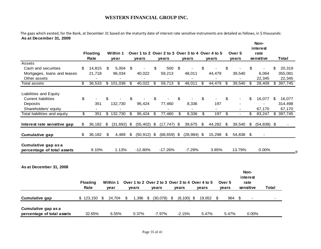The gaps which existed, for the Bank, at December 31 based on the maturity date of interest rate sensitive instruments are detailed as follows, in \$ thousands: **As at December 31, 2009**

|                                                   | <b>Floating</b><br>Rate | Within 1<br>year    |     | years          |       | Over 1 to 2 Over 2 to 3 Over 3 to 4 Over 4 to 5<br>years |                | years          |       | years                    |                            | Over 5<br>years |                          | Non-<br>interest<br>rate<br>sensitive |                           | <b>Total</b>      |
|---------------------------------------------------|-------------------------|---------------------|-----|----------------|-------|----------------------------------------------------------|----------------|----------------|-------|--------------------------|----------------------------|-----------------|--------------------------|---------------------------------------|---------------------------|-------------------|
| Assets                                            |                         |                     |     |                |       |                                                          |                |                |       |                          |                            |                 |                          |                                       |                           |                   |
| Cash and securities                               | \$<br>14,815            | \$<br>5,004         | \$  |                | \$    | 500                                                      | $\mathfrak{S}$ |                | \$    |                          | \$                         |                 | \$                       |                                       |                           | 20,319            |
| Mortgages, loans and leases                       | 21,718                  | 96,034              |     | 40,022         |       | 59,213                                                   |                | 48,011         |       | 44,479                   |                            | 39,540          |                          | 6,064                                 |                           | 355,081           |
| Other assets<br>Total assets                      | \$<br>36,533            | \$101,038           | \$  | 40,022         | \$    | 59,713                                                   | \$             | 48,011         | \$    | 44,479                   | \$                         | 39,540          | \$                       | 22,345<br>28,409                      | $\overline{\mathfrak{s}}$ | 22,345<br>397,745 |
|                                                   |                         |                     |     |                |       |                                                          |                |                |       |                          |                            |                 |                          |                                       |                           |                   |
| <b>Liabilities and Equity</b>                     |                         |                     |     |                |       |                                                          |                |                |       |                          |                            |                 |                          |                                       |                           |                   |
| <b>Current liabilities</b>                        | \$                      | \$                  | \$  |                | \$    |                                                          | \$             |                | \$    | $\overline{\phantom{a}}$ | \$                         |                 | \$                       | 16,077                                | \$                        | 16,077            |
| Deposits                                          | 351                     | 132,730             |     | 95,424         |       | 77,460                                                   |                | 8,336          |       | 197                      |                            |                 |                          |                                       |                           | 314,498           |
| Shareholders' equity                              |                         |                     |     |                |       |                                                          |                |                |       |                          |                            |                 |                          | 67,170                                |                           | 67,170            |
| Total liabilities and equity                      | \$<br>351               | \$132,730           | -\$ | 95,424         | -\$   | 77,460                                                   | \$             | 8,336          | \$    | 197                      | $\boldsymbol{\mathsf{\$}}$ |                 | \$                       | 83,247                                |                           | \$397,745         |
| Interest rate sensitive gap                       | \$<br>36,182            | \$<br>$(31,692)$ \$ |     | $(55, 402)$ \$ |       | $(17, 747)$ \$                                           |                | 39,675         | \$    | 44,282                   | \$                         | 39,540          | \$                       | $(54,838)$ \$                         |                           |                   |
| <b>Cumulative gap</b>                             | \$<br>36,182            | \$<br>4,489         | \$  | $(50, 912)$ \$ |       | $(68, 659)$ \$                                           |                | $(28, 984)$ \$ |       | 15,298                   | \$                         | 54,838 \$       |                          | $\blacksquare$                        |                           |                   |
| Cumulative gap as a<br>percentage of total assets | 9.10%                   | 1.13%               |     | $-12.80%$      |       | $-17.26%$                                                |                | $-7.29%$       |       | 3.85%                    |                            | 13.79%          |                          | 0.00%                                 |                           |                   |
| As at December 31, 2008                           | <b>Floating</b><br>Rate | Within 1<br>year    |     | years          | years | Over 1 to 2 Over 2 to 3 Over 3 to 4 Over 4 to 5          | years          |                | years |                          | Over 5<br>years            | sensitive       | Non-<br>interest<br>rate | <b>Total</b>                          |                           |                   |
| <b>Cumulative gap</b>                             | \$123,150               | \$<br>24,704<br>\$  |     | 1,396<br>\$    |       | $(30,078)$ \$                                            |                | $(8, 100)$ \$  |       | 19,652 \$                |                            | 964 \$          |                          |                                       |                           |                   |
| Cumulative gap as a<br>percentage of total assets | 32.65%                  | 6.55%               |     | 0.37%          |       | $-7.97%$                                                 |                | $-2.15%$       |       | 5.47%                    | 5.47%                      |                 | 0.00%                    |                                       |                           |                   |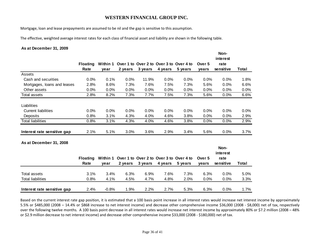Mortgage, loan and lease prepayments are assumed to be nil and the gap is sensitive to this assumption.

The effective, weighted average interest rates for each class of financial asset and liability are shown in the following table.

#### **As at December 31, 2009**

**Interest rate sensitive gap**

|                             | <b>Floating</b><br>Rate | Within 1<br>year | 2 years | Over 1 to Over 2 to Over 3 to Over 4 to<br>3 years | 4 years | 5 years | Over 5<br>years | Non-<br>interest<br>rate<br>sensitive | Total |
|-----------------------------|-------------------------|------------------|---------|----------------------------------------------------|---------|---------|-----------------|---------------------------------------|-------|
| Assets                      |                         |                  |         |                                                    |         |         |                 |                                       |       |
| Cash and securities         | 0.0%                    | 0.1%             | 0.0%    | 11.9%                                              | 0.0%    | 0.0%    | $0.0\%$         | 0.0%                                  | 1.8%  |
| Mortgages, loans and leases | 2.8%                    | 8.6%             | 7.3%    | 7.6%                                               | 7.5%    | 7.3%    | 5.6%            | 0.0%                                  | 6.6%  |
| Other assets                | 0.0%                    | $0.0\%$          | 0.0%    | 0.0%                                               | 0.0%    | 0.0%    | $0.0\%$         | 0.0%                                  | 0.0%  |
| Total assets                | 2.8%                    | 8.2%             | 7.3%    | 7.7%                                               | 7.5%    | 7.3%    | 5.6%            | 0.0%                                  | 6.6%  |
| Liabilities                 |                         |                  |         |                                                    |         |         |                 |                                       |       |
| <b>Current liabilities</b>  | 0.0%                    | 0.0%             | 0.0%    | 0.0%                                               | 0.0%    | 0.0%    | 0.0%            | 0.0%                                  | 0.0%  |
| Deposits                    | 0.8%                    | 3.1%             | 4.3%    | 4.0%                                               | 4.6%    | 3.8%    | $0.0\%$         | 0.0%                                  | 2.9%  |
| <b>Total liabilities</b>    | 0.8%                    | 3.1%             | 4.3%    | 4.0%                                               | 4.6%    | 3.8%    | $0.0\%$         | 0.0%                                  | 2.9%  |
| Interest rate sensitive gap | 2.1%                    | 5.1%             | 3.0%    | 3.6%                                               | 2.9%    | 3.4%    | 5.6%            | 0.0%                                  | 3.7%  |
| As at December 31, 2008     |                         |                  |         |                                                    |         |         |                 |                                       |       |
|                             |                         |                  |         |                                                    |         |         |                 | Non-<br>interest                      |       |
|                             | <b>Floating</b>         | Within 1         |         | Over 1 to Over 2 to Over 3 to Over 4 to            |         |         | Over 5          | rate                                  |       |
|                             | Rate                    | year             | 2 years | 3 years                                            | 4 years | 5 years | years           | sensitive                             | Total |
| Total assets                | 3.1%                    | 3.4%             | 6.3%    | 6.9%                                               | 7.6%    | 7.3%    | 6.3%            | 0.0%                                  | 5.0%  |

Total liabilities 0.8% 4.1% 4.5% 4.7% 4.8% 2.0% 0.0% 0.0% 3.3%

Based on the current interest rate gap position, it is estimated that a 100 basis point increase in all interest rates would increase net interest income by approximately 5.5% or \$485,000 (2008 – 14.4% or \$868 increase to net interest income) and decrease other comprehensive income \$36,000 (2008 - \$8,000) net of tax, respectively over the following twelve months. A 100 basis point decrease in all interest rates would increase net interest income by approximately 80% or \$7.2 million (2008 – 48% or \$2.9 million decrease to net interest income) and decrease other comprehensive income \$33,000 (2008 - \$180,000) net of tax.

2.4% -0.8% 1.9% 2.2% 2.7% 5.3% 6.3% 0.0% 1.7%

 $3.3%$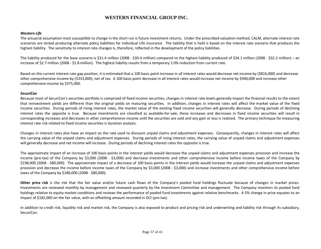#### Western Life

The actuarial assumption most susceptible to change in the short run is future investment returns. Under the prescribed valuation method, CALM, alternate interest rate scenarios are tested producing alternate policy liabilities for Individual Life insurance. The liability that is held is based on the interest rate scenario that produces the highest liability. The sensitivity to interest rate changes is, therefore, reflected in the development of the policy liabilities.

The liability produced for the base scenario is \$31.4 million (2008 - \$30.4 million) compared to the highest liability produced of \$34.1 million (2008 - \$32.2 million) – an increase of \$2.7 million (2008 - \$1.8 million). The highest liability results from a temporary 2.0% reduction from current rate.

Based on the current interest rate gap position, it is estimated that a 100 basis point increase in all interest rates would decrease net income by (\$816,000) and decrease other comprehensive income by (\$333,000), net of tax. A 100 basis point decrease in all interest rates would increase net income by \$940,000 and increase other comprehensive income by \$375,000.

#### **SecuriCan**

Because most of SecuriCan's securities portfolio is comprised of fixed income securities, changes in interest rate levels generally impact the financial results to the extent that reinvestment yields are different than the original yields on maturing securities. In addition, changes in interest rates will affect the market value of the fixed income securities. During periods of rising interest rates, the market value of the existing fixed income securities will generally decrease. During periods of declining interest rates the opposite is true. Because investments are classified as available-for-sale, these increases and decreases in fixed income securities will result in corresponding increases and decreases in other comprehensive income until the securities are sold and any gain or loss is realized. The primary technique for measuring interest rate risk related to fixed income securities is duration analysis.

Changes in interest rates also have an impact on the rate used to discount unpaid claims and adjustment expenses. Consequently, changes in interest rates will affect the carrying value of the unpaid claims and adjustment expenses. During periods of rising interest rates, the carrying value of unpaid claims and adjustment expenses will generally decrease and net income will increase. During periods of declining interest rates the opposite is true.

The approximate impact of an increase of 100 basis points in the interest yields would decrease the unpaid claims and adjustment expenses provision and increase the income (pre-tax) of the Company by \$3,000 (2008 - \$3,000) and decrease investments and other comprehensive income before income taxes of the Company by \$198,000 (2008 - \$80,000). The approximate impact of a decrease of 100 basis points in the interest yields would increase the unpaid claims and adjustment expenses provision and decrease the income before income taxes of the Company by \$3,000 (2008 - \$3,000) and increase investments and other comprehensive income before taxes of the Company by \$180,000 (2008 - \$80,000).

Other price risk is the risk that the fair value and/or future cash flows of the Company's pooled fund holdings fluctuate because of changes in market prices. Investments are reviewed monthly by management and reviewed quarterly by the Investment Committee and management. The Company monitors its pooled fund holdings relative to equity market conditions and reviews the performance of pooled fund investments against relative benchmarks. A 5% change in price equates to an impact of \$182,000 on the fair value, with an offsetting amount recorded in OCI (pre-tax).

In addition to credit risk, liquidity risk and market risk, the Company is also exposed to product and pricing risk and underwriting and liability risk through its subsidiary, SecuriCan.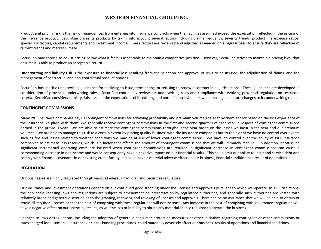Product and pricing risk is the risk of financial loss from entering into insurance contracts when the liabilities assumed exceed the expectation reflected in the pricing of the insurance product. SecuriCan prices its products by taking into account several factors including claims frequency, severity trends, product line expense ratios, special risk factors, capital requirements and investment income. These factors are reviewed and adjusted as needed on a regular basis to ensure they are reflective of current trends and market climate.

SecuriCan may choose to adjust pricing below what it feels is acceptable to maintain a competitive position. However, SecuriCan strives to maintain a pricing level that ensures it is able to produce an acceptable return.

Underwriting and liability risk is the exposure to financial loss resulting from the selection and approval of risks to be insured, the adjudication of claims, and the management of contractual and non-contractual product options.

SecuriCan has specific underwriting guidelines for declining to issue, terminating, or refusing to renew a contract in all jurisdictions. These guidelines are developed in consideration of provincial underwriting rules. SecuriCan continually reviews its underwriting rules and compliance with evolving provincial regulation on restricted criteria. SecuriCan considers stability, fairness and the expectations of its existing and potential policyholders when making deliberate changes to its underwriting rules.

#### CONTINGENT COMMISSIONS

Many P&C insurance companies pay us contingent commissions for achieving profitability and premium volume goals set by them and/or based on the loss experience of the insurance we place with them. We generally receive contingent commissions in the first and second quarters of each year in respect of contingent commissions earned in the previous year. We are able to estimate the contingent commissions throughout the year based on the losses we incur in the year and our premium volumes. We are able to manage this risk to a certain extent by placing quality business with the insurance companies but to the extent we have no control over events such as fire and losses related to weather conditions we may be at risk of lower contingent commissions. We have no control over the ability of P&C insurance companies to estimate loss reserves, which is a factor that affects the amount of contingent commissions that we will ultimately receive. In addition, because no significant incremental operating costs are incurred when contingent commissions are realized, a significant decrease in contingent commissions can cause a corresponding decrease in net income and would consequently have a negative impact on our financial results. This could limit our ability to incur and service debt and comply with financial covenants in our existing credit facility and could have a material adverse effect on our business, financial condition and result of operations.

#### REGULATION

Our businesses are highly regulated through various Federal, Provincial, and Securities regulators.

Our insurance and investment operations depend on our continued good standing under the licenses and approvals pursuant to which we operate. In all jurisdictions, the applicable licensing laws and regulations are subject to amendment or interpretation by regulatory authorities, and generally such authorities are vested with relatively broad and general discretion as to the granting, renewing and revoking of licenses and approvals. There can be no assurance that we will be able to obtain or retain all required licenses or that the cost of complying with these regulations will not increase. Any increase in the cost of complying with government regulation will have a negative effect on our operating results, as will the loss or inability to obtain any material license required to operate the business.

Changes to laws or regulations, including the adoption of generous consumer protection measures or other initiatives regarding contingent or other commissions or rates charged for automobile insurance or claims handling procedures, could materially adversely affect our business, results of operations and financial conditions.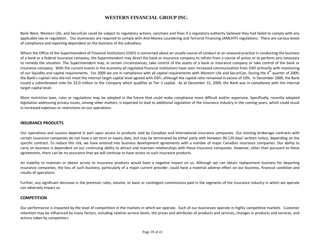Bank West, Western Life, and SecuriCan could be subject to regulatory actions, sanctions and fines if a regulatory authority believed they had failed to comply with any applicable law or regulation. Our businesses are required to comply with Anti-Money Laundering and Terrorist Financing (AMLATF) regulations. There are various levels of compliance and reporting dependent on the business of the subsidiary.

Where the Office of the Superintendent of Financial Institutions (OSFI) is concerned about an unsafe course of conduct or an unsound practice in conducting the business of a bank or a federal insurance company, the Superintendent may direct the bank or insurance company to refrain from a course of action or to perform acts necessary to remedy the situation. The Superintendent may, in certain circumstances, take control of the assets of a bank or insurance company or take control of the bank or insurance company. With the current events in the economy all regulated financial institutions have seen increased communication from OSFI primarily with monitoring of our liquidity and capital requirements. For 2009 we are in compliance with all capital requirements with Western Life and SecuriCan. During the  $4<sup>th</sup>$  quarter of 2009, the Bank's capital ratio did not meet the internal target capital level agreed with OSFI, although the capital ratio remained in excess of 10%. In December 2009, the Bank issued a subordinated note for \$3.0 million to the Company which qualifies at Tier 2 capital. As at December 31, 2009, the Bank was in compliance with the internal target capital level.

More restrictive laws, rules or regulations may be adopted in the future that could make compliance more difficult and/or expensive. Specifically, recently adopted legislation addressing privacy issues, among other matters, is expected to lead to additional regulation of the insurance industry in the coming years, which could result in increased expenses or restrictions on our operations.

#### INSURANCE PRODUCTS

Our operations and success depend in part upon access to products sold by Canadian and international insurance companies. Our existing brokerage contracts with certain insurance companies do not have a set term or expiry date, but may be terminated by either party with between 90-120 days' written notice, depending on the specific contract. To reduce this risk, we have entered into business development agreements with a number of major Canadian insurance companies. Our ability to carry on business is dependent on our continuing ability to attract and maintain relationships with these insurance companies. However, other than pursuant to these agreements, there can be no assurance that we will continue to have access to such insurance products.

An inability to maintain or obtain access to insurance products would have a negative impact on us. Although we can obtain replacement business for departing insurance companies, the loss of such business, particularly of a major current provider, could have a material adverse effect on our business, financial condition and results of operations.

Further, any significant decrease in the premium rates, volume, or basic or contingent commissions paid in the segments of the insurance industry in which we operate can adversely impact us.

#### **COMPETITION**

Our performance is impacted by the level of competition in the markets in which we operate. Each of our businesses operate in highly competitive markets. Customer retention may be influenced by many factors, including relative service levels, the prices and attributes of products and services, changes in products and services, and actions taken by competitors.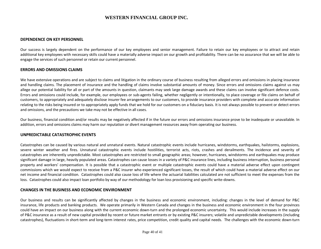#### DEPENDENCE ON KEY PERSONNEL

Our success is largely dependent on the performance of our key employees and senior management. Failure to retain our key employees or to attract and retain additional key employees with necessary skills could have a materially adverse impact on our growth and profitability. There can be no assurance that we will be able to engage the services of such personnel or retain our current personnel.

#### ERRORS AND OMISSIONS CLAIMS

We have extensive operations and are subject to claims and litigation in the ordinary course of business resulting from alleged errors and omissions in placing insurance and handling claims. The placement of insurance and the handling of claims involve substantial amounts of money. Since errors and omissions claims against us may allege our potential liability for all or part of the amounts in question, claimants may seek large damage awards and these claims can involve significant defence costs. Errors and omissions could include, for example, our employees or sub-agents failing, whether negligently or intentionally, to place coverage or file claims on behalf of customers, to appropriately and adequately disclose insurer fee arrangements to our customers, to provide insurance providers with complete and accurate information relating to the risks being insured or to appropriately apply funds that we hold for our customers on a fiduciary basis. It is not always possible to prevent or detect errors and omissions, and the precautions we take may not be effective in all cases.

Our business, financial condition and/or results may be negatively affected if in the future our errors and omissions insurance prove to be inadequate or unavailable. In addition, errors and omissions claims may harm our reputation or divert management resources away from operating our business.

#### UNPREDICTABLE CATASTROPHIC EVENTS

Catastrophes can be caused by various natural and unnatural events. Natural catastrophic events include hurricanes, windstorms, earthquakes, hailstorms, explosions, severe winter weather and fires. Unnatural catastrophic events include hostilities, terrorist acts, riots, crashes and derailments. The incidence and severity of catastrophes are inherently unpredictable. Most catastrophes are restricted to small geographic areas; however, hurricanes, windstorms and earthquakes may produce significant damage in large, heavily populated areas. Catastrophes can cause losses in a variety of P&C insurance lines, including business interruption, business personal property and workers' compensation. It is possible that a catastrophic event or multiple catastrophic events could have a material adverse effect upon contingent commissions which we would expect to receive from a P&C insurer who experienced significant losses, the result of which could have a material adverse effect on our net income and financial condition. Catastrophes could also cause loss of life where the actuarial liabilities calculated are not sufficient to meet the expenses from the loss. Catastrophes could also impact loan portfolio by way of our methodology for loan loss provisioning and specific write-downs.

#### CHANGES IN THE BUSINESS AND ECONOMIC ENVIRONMENT

Our business and results can be significantly affected by changes in the business and economic environment, including: changes in the level of demand for P&C insurance, life products and banking products. We operate primarily in Western Canada and changes in the business and economic environment in the four provinces could have an impact on our business along with the current economic down-turn and the prolonged economic uncertainty. This would include increases in the supply of P&C insurance as a result of new capital provided by recent or future market entrants or by existing P&C insurers; volatile and unpredictable developments (including catastrophes), fluctuations in short-term and long-term interest rates, price competition, credit quality and capital needs. The challenges with the economic down-turn